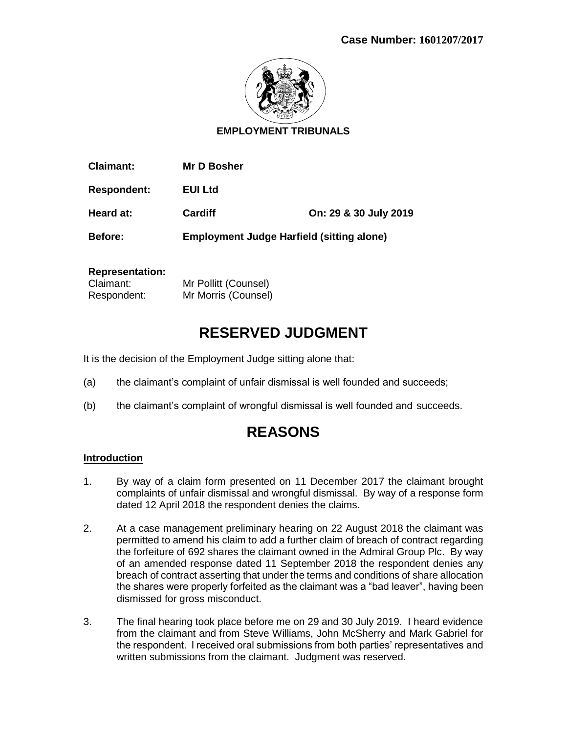

**EMPLOYMENT TRIBUNALS**

| <b>Claimant:</b>   | Mr D Bosher                                      |                       |
|--------------------|--------------------------------------------------|-----------------------|
| <b>Respondent:</b> | EUI Ltd                                          |                       |
| Heard at:          | <b>Cardiff</b>                                   | On: 29 & 30 July 2019 |
| Before:            | <b>Employment Judge Harfield (sitting alone)</b> |                       |

### **Representation:**

| Claimant:   | Mr Pollitt (Counsel) |
|-------------|----------------------|
| Respondent: | Mr Morris (Counsel)  |

# **RESERVED JUDGMENT**

It is the decision of the Employment Judge sitting alone that:

- (a) the claimant's complaint of unfair dismissal is well founded and succeeds;
- (b) the claimant's complaint of wrongful dismissal is well founded and succeeds.

# **REASONS**

#### **Introduction**

- 1. By way of a claim form presented on 11 December 2017 the claimant brought complaints of unfair dismissal and wrongful dismissal. By way of a response form dated 12 April 2018 the respondent denies the claims.
- 2. At a case management preliminary hearing on 22 August 2018 the claimant was permitted to amend his claim to add a further claim of breach of contract regarding the forfeiture of 692 shares the claimant owned in the Admiral Group Plc. By way of an amended response dated 11 September 2018 the respondent denies any breach of contract asserting that under the terms and conditions of share allocation the shares were properly forfeited as the claimant was a "bad leaver", having been dismissed for gross misconduct.
- 3. The final hearing took place before me on 29 and 30 July 2019. I heard evidence from the claimant and from Steve Williams, John McSherry and Mark Gabriel for the respondent. I received oral submissions from both parties' representatives and written submissions from the claimant. Judgment was reserved.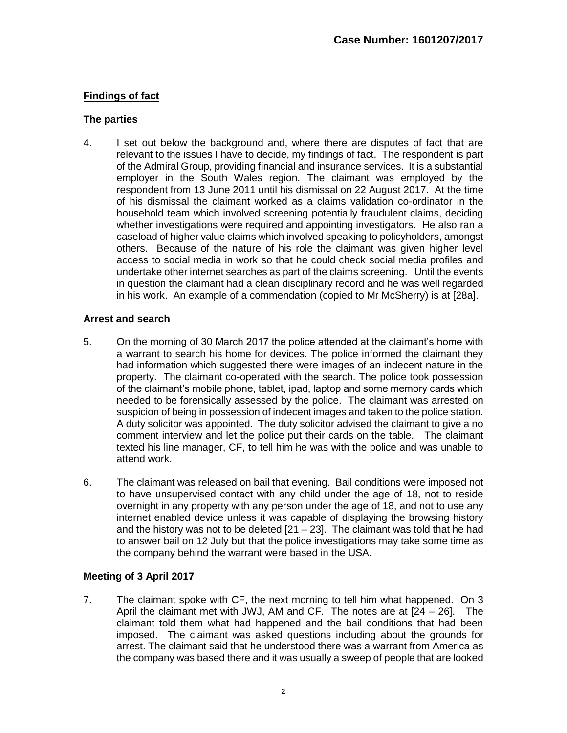# **Findings of fact**

#### **The parties**

4. I set out below the background and, where there are disputes of fact that are relevant to the issues I have to decide, my findings of fact. The respondent is part of the Admiral Group, providing financial and insurance services. It is a substantial employer in the South Wales region. The claimant was employed by the respondent from 13 June 2011 until his dismissal on 22 August 2017. At the time of his dismissal the claimant worked as a claims validation co-ordinator in the household team which involved screening potentially fraudulent claims, deciding whether investigations were required and appointing investigators. He also ran a caseload of higher value claims which involved speaking to policyholders, amongst others. Because of the nature of his role the claimant was given higher level access to social media in work so that he could check social media profiles and undertake other internet searches as part of the claims screening. Until the events in question the claimant had a clean disciplinary record and he was well regarded in his work. An example of a commendation (copied to Mr McSherry) is at [28a].

#### **Arrest and search**

- 5. On the morning of 30 March 2017 the police attended at the claimant's home with a warrant to search his home for devices. The police informed the claimant they had information which suggested there were images of an indecent nature in the property. The claimant co-operated with the search. The police took possession of the claimant's mobile phone, tablet, ipad, laptop and some memory cards which needed to be forensically assessed by the police. The claimant was arrested on suspicion of being in possession of indecent images and taken to the police station. A duty solicitor was appointed. The duty solicitor advised the claimant to give a no comment interview and let the police put their cards on the table. The claimant texted his line manager, CF, to tell him he was with the police and was unable to attend work.
- 6. The claimant was released on bail that evening. Bail conditions were imposed not to have unsupervised contact with any child under the age of 18, not to reside overnight in any property with any person under the age of 18, and not to use any internet enabled device unless it was capable of displaying the browsing history and the history was not to be deleted  $[21 - 23]$ . The claimant was told that he had to answer bail on 12 July but that the police investigations may take some time as the company behind the warrant were based in the USA.

# **Meeting of 3 April 2017**

7. The claimant spoke with CF, the next morning to tell him what happened. On 3 April the claimant met with JWJ, AM and CF. The notes are at  $[24 - 26]$ . The claimant told them what had happened and the bail conditions that had been imposed. The claimant was asked questions including about the grounds for arrest. The claimant said that he understood there was a warrant from America as the company was based there and it was usually a sweep of people that are looked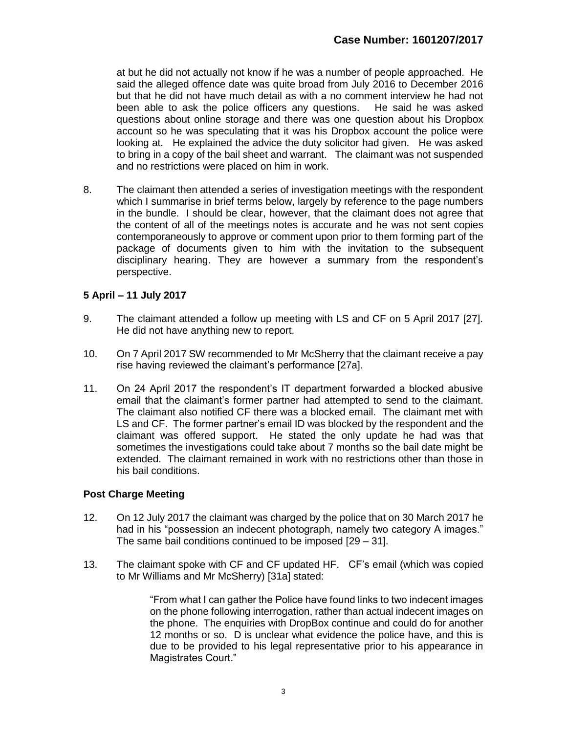at but he did not actually not know if he was a number of people approached. He said the alleged offence date was quite broad from July 2016 to December 2016 but that he did not have much detail as with a no comment interview he had not been able to ask the police officers any questions. He said he was asked questions about online storage and there was one question about his Dropbox account so he was speculating that it was his Dropbox account the police were looking at. He explained the advice the duty solicitor had given. He was asked to bring in a copy of the bail sheet and warrant. The claimant was not suspended and no restrictions were placed on him in work.

8. The claimant then attended a series of investigation meetings with the respondent which I summarise in brief terms below, largely by reference to the page numbers in the bundle. I should be clear, however, that the claimant does not agree that the content of all of the meetings notes is accurate and he was not sent copies contemporaneously to approve or comment upon prior to them forming part of the package of documents given to him with the invitation to the subsequent disciplinary hearing. They are however a summary from the respondent's perspective.

# **5 April – 11 July 2017**

- 9. The claimant attended a follow up meeting with LS and CF on 5 April 2017 [27]. He did not have anything new to report.
- 10. On 7 April 2017 SW recommended to Mr McSherry that the claimant receive a pay rise having reviewed the claimant's performance [27a].
- 11. On 24 April 2017 the respondent's IT department forwarded a blocked abusive email that the claimant's former partner had attempted to send to the claimant. The claimant also notified CF there was a blocked email. The claimant met with LS and CF. The former partner's email ID was blocked by the respondent and the claimant was offered support. He stated the only update he had was that sometimes the investigations could take about 7 months so the bail date might be extended. The claimant remained in work with no restrictions other than those in his bail conditions.

#### **Post Charge Meeting**

- 12. On 12 July 2017 the claimant was charged by the police that on 30 March 2017 he had in his "possession an indecent photograph, namely two category A images." The same bail conditions continued to be imposed [29 – 31].
- 13. The claimant spoke with CF and CF updated HF. CF's email (which was copied to Mr Williams and Mr McSherry) [31a] stated:

"From what I can gather the Police have found links to two indecent images on the phone following interrogation, rather than actual indecent images on the phone. The enquiries with DropBox continue and could do for another 12 months or so. D is unclear what evidence the police have, and this is due to be provided to his legal representative prior to his appearance in Magistrates Court."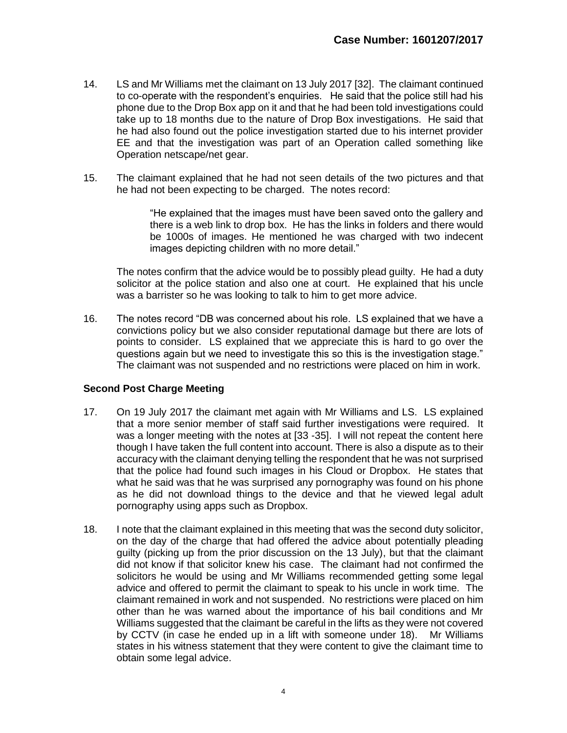- 14. LS and Mr Williams met the claimant on 13 July 2017 [32]. The claimant continued to co-operate with the respondent's enquiries. He said that the police still had his phone due to the Drop Box app on it and that he had been told investigations could take up to 18 months due to the nature of Drop Box investigations. He said that he had also found out the police investigation started due to his internet provider EE and that the investigation was part of an Operation called something like Operation netscape/net gear.
- 15. The claimant explained that he had not seen details of the two pictures and that he had not been expecting to be charged. The notes record:

"He explained that the images must have been saved onto the gallery and there is a web link to drop box. He has the links in folders and there would be 1000s of images. He mentioned he was charged with two indecent images depicting children with no more detail."

The notes confirm that the advice would be to possibly plead guilty. He had a duty solicitor at the police station and also one at court. He explained that his uncle was a barrister so he was looking to talk to him to get more advice.

16. The notes record "DB was concerned about his role. LS explained that we have a convictions policy but we also consider reputational damage but there are lots of points to consider. LS explained that we appreciate this is hard to go over the questions again but we need to investigate this so this is the investigation stage." The claimant was not suspended and no restrictions were placed on him in work.

#### **Second Post Charge Meeting**

- 17. On 19 July 2017 the claimant met again with Mr Williams and LS. LS explained that a more senior member of staff said further investigations were required. It was a longer meeting with the notes at [33 -35]. I will not repeat the content here though I have taken the full content into account. There is also a dispute as to their accuracy with the claimant denying telling the respondent that he was not surprised that the police had found such images in his Cloud or Dropbox. He states that what he said was that he was surprised any pornography was found on his phone as he did not download things to the device and that he viewed legal adult pornography using apps such as Dropbox.
- 18. I note that the claimant explained in this meeting that was the second duty solicitor, on the day of the charge that had offered the advice about potentially pleading guilty (picking up from the prior discussion on the 13 July), but that the claimant did not know if that solicitor knew his case. The claimant had not confirmed the solicitors he would be using and Mr Williams recommended getting some legal advice and offered to permit the claimant to speak to his uncle in work time. The claimant remained in work and not suspended. No restrictions were placed on him other than he was warned about the importance of his bail conditions and Mr Williams suggested that the claimant be careful in the lifts as they were not covered by CCTV (in case he ended up in a lift with someone under 18). Mr Williams states in his witness statement that they were content to give the claimant time to obtain some legal advice.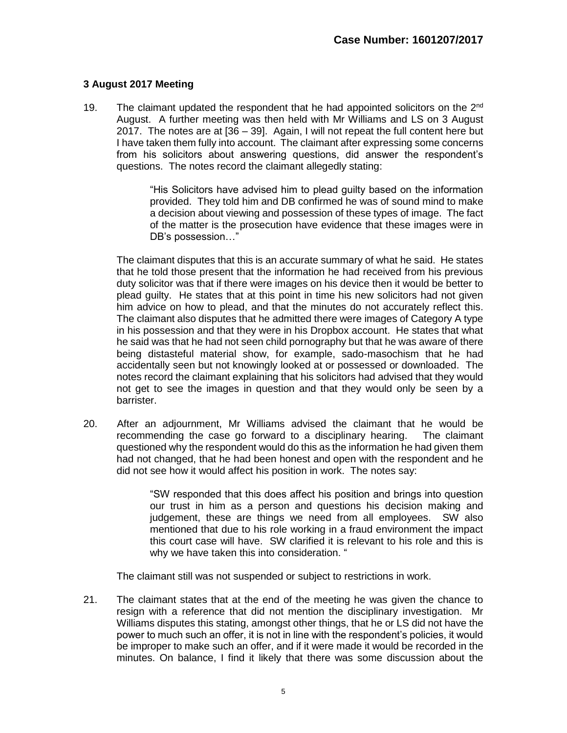# **3 August 2017 Meeting**

19. The claimant updated the respondent that he had appointed solicitors on the  $2<sup>nd</sup>$ August. A further meeting was then held with Mr Williams and LS on 3 August 2017. The notes are at [36 – 39]. Again, I will not repeat the full content here but I have taken them fully into account. The claimant after expressing some concerns from his solicitors about answering questions, did answer the respondent's questions. The notes record the claimant allegedly stating:

> "His Solicitors have advised him to plead guilty based on the information provided. They told him and DB confirmed he was of sound mind to make a decision about viewing and possession of these types of image. The fact of the matter is the prosecution have evidence that these images were in DB's possession…"

The claimant disputes that this is an accurate summary of what he said. He states that he told those present that the information he had received from his previous duty solicitor was that if there were images on his device then it would be better to plead guilty. He states that at this point in time his new solicitors had not given him advice on how to plead, and that the minutes do not accurately reflect this. The claimant also disputes that he admitted there were images of Category A type in his possession and that they were in his Dropbox account. He states that what he said was that he had not seen child pornography but that he was aware of there being distasteful material show, for example, sado-masochism that he had accidentally seen but not knowingly looked at or possessed or downloaded. The notes record the claimant explaining that his solicitors had advised that they would not get to see the images in question and that they would only be seen by a barrister.

20. After an adjournment, Mr Williams advised the claimant that he would be recommending the case go forward to a disciplinary hearing. The claimant questioned why the respondent would do this as the information he had given them had not changed, that he had been honest and open with the respondent and he did not see how it would affect his position in work. The notes say:

> "SW responded that this does affect his position and brings into question our trust in him as a person and questions his decision making and judgement, these are things we need from all employees. SW also mentioned that due to his role working in a fraud environment the impact this court case will have. SW clarified it is relevant to his role and this is why we have taken this into consideration. "

The claimant still was not suspended or subject to restrictions in work.

21. The claimant states that at the end of the meeting he was given the chance to resign with a reference that did not mention the disciplinary investigation. Mr Williams disputes this stating, amongst other things, that he or LS did not have the power to much such an offer, it is not in line with the respondent's policies, it would be improper to make such an offer, and if it were made it would be recorded in the minutes. On balance, I find it likely that there was some discussion about the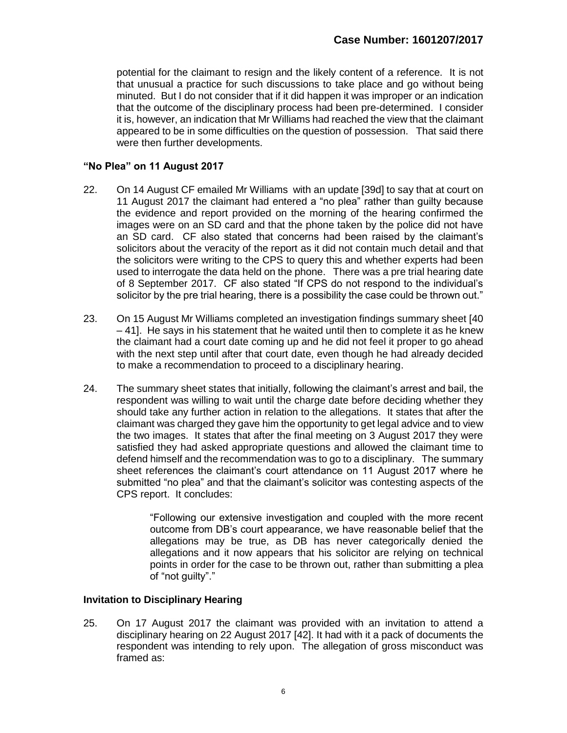potential for the claimant to resign and the likely content of a reference. It is not that unusual a practice for such discussions to take place and go without being minuted. But I do not consider that if it did happen it was improper or an indication that the outcome of the disciplinary process had been pre-determined. I consider it is, however, an indication that Mr Williams had reached the view that the claimant appeared to be in some difficulties on the question of possession. That said there were then further developments.

### **"No Plea" on 11 August 2017**

- 22. On 14 August CF emailed Mr Williams with an update [39d] to say that at court on 11 August 2017 the claimant had entered a "no plea" rather than guilty because the evidence and report provided on the morning of the hearing confirmed the images were on an SD card and that the phone taken by the police did not have an SD card. CF also stated that concerns had been raised by the claimant's solicitors about the veracity of the report as it did not contain much detail and that the solicitors were writing to the CPS to query this and whether experts had been used to interrogate the data held on the phone. There was a pre trial hearing date of 8 September 2017. CF also stated "If CPS do not respond to the individual's solicitor by the pre trial hearing, there is a possibility the case could be thrown out."
- 23. On 15 August Mr Williams completed an investigation findings summary sheet [40  $-41$ . He says in his statement that he waited until then to complete it as he knew the claimant had a court date coming up and he did not feel it proper to go ahead with the next step until after that court date, even though he had already decided to make a recommendation to proceed to a disciplinary hearing.
- 24. The summary sheet states that initially, following the claimant's arrest and bail, the respondent was willing to wait until the charge date before deciding whether they should take any further action in relation to the allegations. It states that after the claimant was charged they gave him the opportunity to get legal advice and to view the two images. It states that after the final meeting on 3 August 2017 they were satisfied they had asked appropriate questions and allowed the claimant time to defend himself and the recommendation was to go to a disciplinary. The summary sheet references the claimant's court attendance on 11 August 2017 where he submitted "no plea" and that the claimant's solicitor was contesting aspects of the CPS report. It concludes:

"Following our extensive investigation and coupled with the more recent outcome from DB's court appearance, we have reasonable belief that the allegations may be true, as DB has never categorically denied the allegations and it now appears that his solicitor are relying on technical points in order for the case to be thrown out, rather than submitting a plea of "not guilty"."

# **Invitation to Disciplinary Hearing**

25. On 17 August 2017 the claimant was provided with an invitation to attend a disciplinary hearing on 22 August 2017 [42]. It had with it a pack of documents the respondent was intending to rely upon. The allegation of gross misconduct was framed as: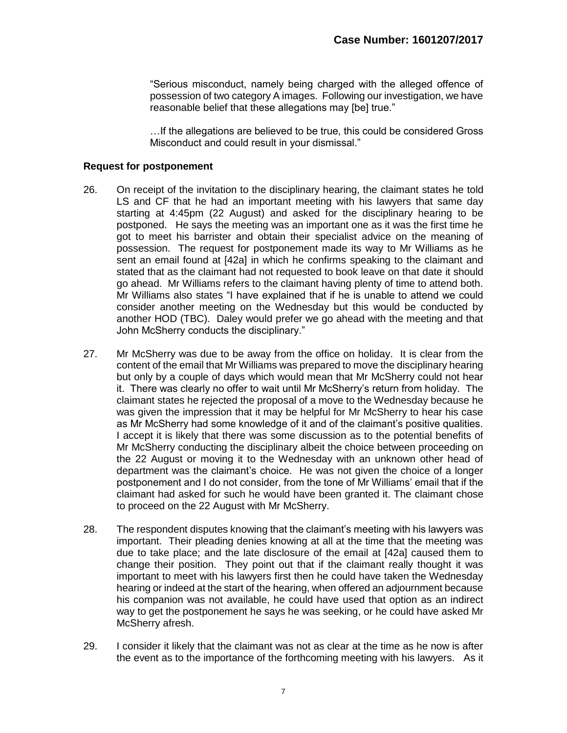"Serious misconduct, namely being charged with the alleged offence of possession of two category A images. Following our investigation, we have reasonable belief that these allegations may [be] true."

…If the allegations are believed to be true, this could be considered Gross Misconduct and could result in your dismissal."

#### **Request for postponement**

- 26. On receipt of the invitation to the disciplinary hearing, the claimant states he told LS and CF that he had an important meeting with his lawyers that same day starting at 4:45pm (22 August) and asked for the disciplinary hearing to be postponed. He says the meeting was an important one as it was the first time he got to meet his barrister and obtain their specialist advice on the meaning of possession. The request for postponement made its way to Mr Williams as he sent an email found at [42a] in which he confirms speaking to the claimant and stated that as the claimant had not requested to book leave on that date it should go ahead. Mr Williams refers to the claimant having plenty of time to attend both. Mr Williams also states "I have explained that if he is unable to attend we could consider another meeting on the Wednesday but this would be conducted by another HOD (TBC). Daley would prefer we go ahead with the meeting and that John McSherry conducts the disciplinary."
- 27. Mr McSherry was due to be away from the office on holiday. It is clear from the content of the email that Mr Williams was prepared to move the disciplinary hearing but only by a couple of days which would mean that Mr McSherry could not hear it. There was clearly no offer to wait until Mr McSherry's return from holiday. The claimant states he rejected the proposal of a move to the Wednesday because he was given the impression that it may be helpful for Mr McSherry to hear his case as Mr McSherry had some knowledge of it and of the claimant's positive qualities. I accept it is likely that there was some discussion as to the potential benefits of Mr McSherry conducting the disciplinary albeit the choice between proceeding on the 22 August or moving it to the Wednesday with an unknown other head of department was the claimant's choice. He was not given the choice of a longer postponement and I do not consider, from the tone of Mr Williams' email that if the claimant had asked for such he would have been granted it. The claimant chose to proceed on the 22 August with Mr McSherry.
- 28. The respondent disputes knowing that the claimant's meeting with his lawyers was important. Their pleading denies knowing at all at the time that the meeting was due to take place; and the late disclosure of the email at [42a] caused them to change their position. They point out that if the claimant really thought it was important to meet with his lawyers first then he could have taken the Wednesday hearing or indeed at the start of the hearing, when offered an adjournment because his companion was not available, he could have used that option as an indirect way to get the postponement he says he was seeking, or he could have asked Mr McSherry afresh.
- 29. I consider it likely that the claimant was not as clear at the time as he now is after the event as to the importance of the forthcoming meeting with his lawyers. As it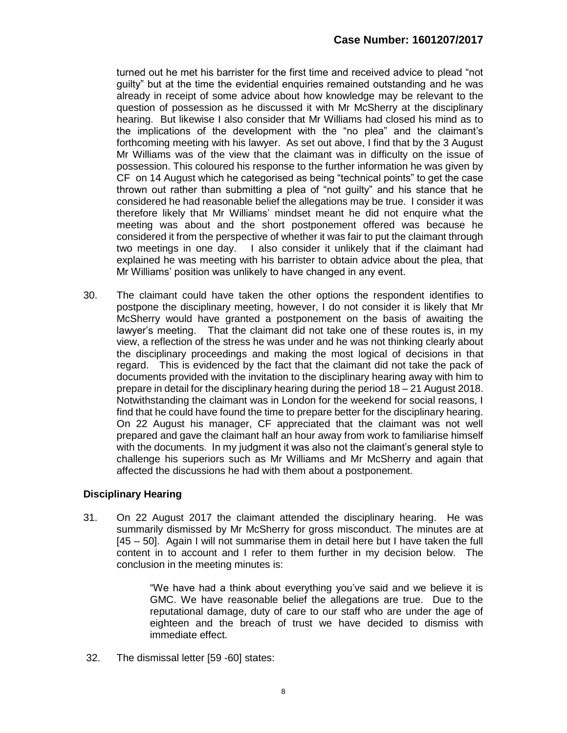turned out he met his barrister for the first time and received advice to plead "not guilty" but at the time the evidential enquiries remained outstanding and he was already in receipt of some advice about how knowledge may be relevant to the question of possession as he discussed it with Mr McSherry at the disciplinary hearing. But likewise I also consider that Mr Williams had closed his mind as to the implications of the development with the "no plea" and the claimant's forthcoming meeting with his lawyer. As set out above, I find that by the 3 August Mr Williams was of the view that the claimant was in difficulty on the issue of possession. This coloured his response to the further information he was given by CF on 14 August which he categorised as being "technical points" to get the case thrown out rather than submitting a plea of "not guilty" and his stance that he considered he had reasonable belief the allegations may be true. I consider it was therefore likely that Mr Williams' mindset meant he did not enquire what the meeting was about and the short postponement offered was because he considered it from the perspective of whether it was fair to put the claimant through two meetings in one day. I also consider it unlikely that if the claimant had explained he was meeting with his barrister to obtain advice about the plea, that Mr Williams' position was unlikely to have changed in any event.

30. The claimant could have taken the other options the respondent identifies to postpone the disciplinary meeting, however, I do not consider it is likely that Mr McSherry would have granted a postponement on the basis of awaiting the lawyer's meeting. That the claimant did not take one of these routes is, in my view, a reflection of the stress he was under and he was not thinking clearly about the disciplinary proceedings and making the most logical of decisions in that regard. This is evidenced by the fact that the claimant did not take the pack of documents provided with the invitation to the disciplinary hearing away with him to prepare in detail for the disciplinary hearing during the period 18 – 21 August 2018. Notwithstanding the claimant was in London for the weekend for social reasons, I find that he could have found the time to prepare better for the disciplinary hearing. On 22 August his manager, CF appreciated that the claimant was not well prepared and gave the claimant half an hour away from work to familiarise himself with the documents. In my judgment it was also not the claimant's general style to challenge his superiors such as Mr Williams and Mr McSherry and again that affected the discussions he had with them about a postponement.

# **Disciplinary Hearing**

31. On 22 August 2017 the claimant attended the disciplinary hearing. He was summarily dismissed by Mr McSherry for gross misconduct. The minutes are at [45 – 50]. Again I will not summarise them in detail here but I have taken the full content in to account and I refer to them further in my decision below. The conclusion in the meeting minutes is:

> "We have had a think about everything you've said and we believe it is GMC. We have reasonable belief the allegations are true. Due to the reputational damage, duty of care to our staff who are under the age of eighteen and the breach of trust we have decided to dismiss with immediate effect.

32. The dismissal letter [59 -60] states: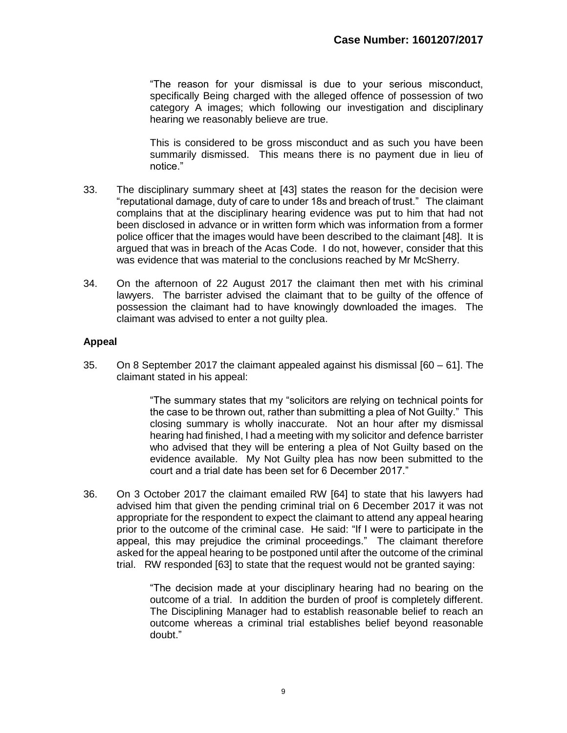"The reason for your dismissal is due to your serious misconduct, specifically Being charged with the alleged offence of possession of two category A images; which following our investigation and disciplinary hearing we reasonably believe are true.

This is considered to be gross misconduct and as such you have been summarily dismissed. This means there is no payment due in lieu of notice."

- 33. The disciplinary summary sheet at [43] states the reason for the decision were "reputational damage, duty of care to under 18s and breach of trust." The claimant complains that at the disciplinary hearing evidence was put to him that had not been disclosed in advance or in written form which was information from a former police officer that the images would have been described to the claimant [48]. It is argued that was in breach of the Acas Code. I do not, however, consider that this was evidence that was material to the conclusions reached by Mr McSherry.
- 34. On the afternoon of 22 August 2017 the claimant then met with his criminal lawyers. The barrister advised the claimant that to be guilty of the offence of possession the claimant had to have knowingly downloaded the images. The claimant was advised to enter a not guilty plea.

#### **Appeal**

35. On 8 September 2017 the claimant appealed against his dismissal [60 – 61]. The claimant stated in his appeal:

> "The summary states that my "solicitors are relying on technical points for the case to be thrown out, rather than submitting a plea of Not Guilty." This closing summary is wholly inaccurate. Not an hour after my dismissal hearing had finished, I had a meeting with my solicitor and defence barrister who advised that they will be entering a plea of Not Guilty based on the evidence available. My Not Guilty plea has now been submitted to the court and a trial date has been set for 6 December 2017."

36. On 3 October 2017 the claimant emailed RW [64] to state that his lawyers had advised him that given the pending criminal trial on 6 December 2017 it was not appropriate for the respondent to expect the claimant to attend any appeal hearing prior to the outcome of the criminal case. He said: "If I were to participate in the appeal, this may prejudice the criminal proceedings." The claimant therefore asked for the appeal hearing to be postponed until after the outcome of the criminal trial. RW responded [63] to state that the request would not be granted saying:

> "The decision made at your disciplinary hearing had no bearing on the outcome of a trial. In addition the burden of proof is completely different. The Disciplining Manager had to establish reasonable belief to reach an outcome whereas a criminal trial establishes belief beyond reasonable doubt."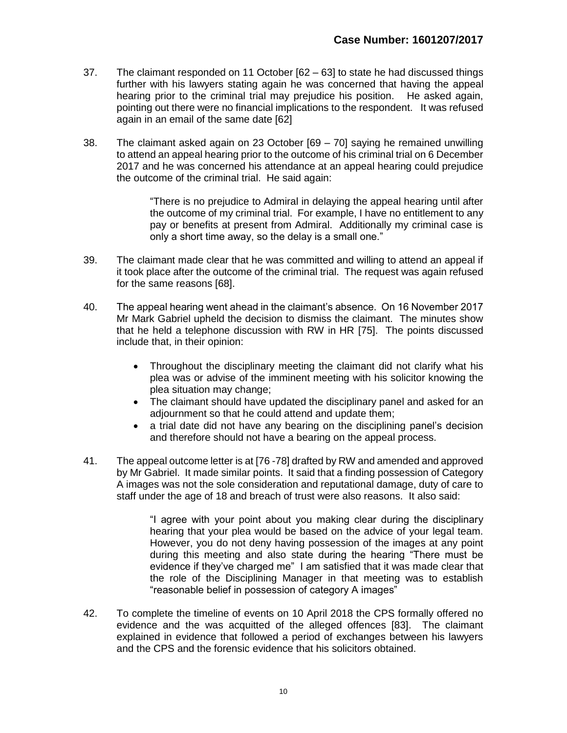- 37. The claimant responded on 11 October [62 63] to state he had discussed things further with his lawyers stating again he was concerned that having the appeal hearing prior to the criminal trial may prejudice his position. He asked again, pointing out there were no financial implications to the respondent. It was refused again in an email of the same date [62]
- 38. The claimant asked again on 23 October [69 70] saying he remained unwilling to attend an appeal hearing prior to the outcome of his criminal trial on 6 December 2017 and he was concerned his attendance at an appeal hearing could prejudice the outcome of the criminal trial. He said again:

"There is no prejudice to Admiral in delaying the appeal hearing until after the outcome of my criminal trial. For example, I have no entitlement to any pay or benefits at present from Admiral. Additionally my criminal case is only a short time away, so the delay is a small one."

- 39. The claimant made clear that he was committed and willing to attend an appeal if it took place after the outcome of the criminal trial. The request was again refused for the same reasons [68].
- 40. The appeal hearing went ahead in the claimant's absence. On 16 November 2017 Mr Mark Gabriel upheld the decision to dismiss the claimant. The minutes show that he held a telephone discussion with RW in HR [75]. The points discussed include that, in their opinion:
	- Throughout the disciplinary meeting the claimant did not clarify what his plea was or advise of the imminent meeting with his solicitor knowing the plea situation may change;
	- The claimant should have updated the disciplinary panel and asked for an adjournment so that he could attend and update them;
	- a trial date did not have any bearing on the disciplining panel's decision and therefore should not have a bearing on the appeal process.
- 41. The appeal outcome letter is at [76 -78] drafted by RW and amended and approved by Mr Gabriel. It made similar points. It said that a finding possession of Category A images was not the sole consideration and reputational damage, duty of care to staff under the age of 18 and breach of trust were also reasons. It also said:

"I agree with your point about you making clear during the disciplinary hearing that your plea would be based on the advice of your legal team. However, you do not deny having possession of the images at any point during this meeting and also state during the hearing "There must be evidence if they've charged me" I am satisfied that it was made clear that the role of the Disciplining Manager in that meeting was to establish "reasonable belief in possession of category A images"

42. To complete the timeline of events on 10 April 2018 the CPS formally offered no evidence and the was acquitted of the alleged offences [83]. The claimant explained in evidence that followed a period of exchanges between his lawyers and the CPS and the forensic evidence that his solicitors obtained.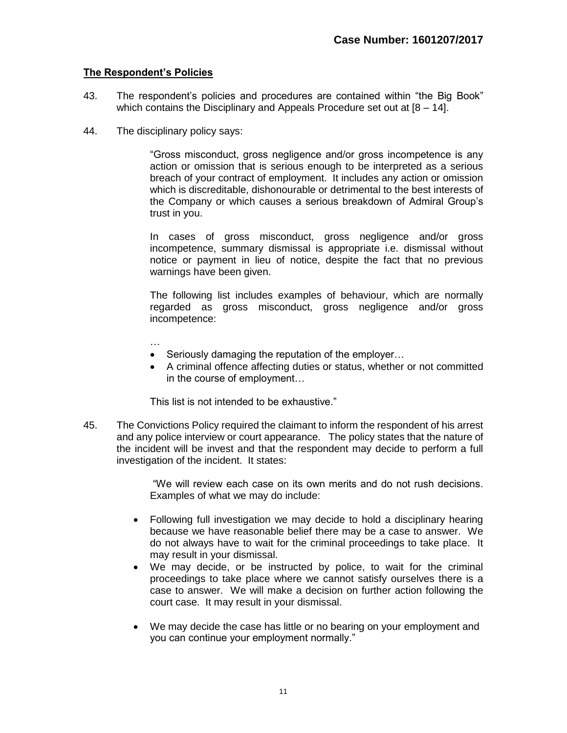#### **The Respondent's Policies**

- 43. The respondent's policies and procedures are contained within "the Big Book" which contains the Disciplinary and Appeals Procedure set out at  $[8 - 14]$ .
- 44. The disciplinary policy says:

"Gross misconduct, gross negligence and/or gross incompetence is any action or omission that is serious enough to be interpreted as a serious breach of your contract of employment. It includes any action or omission which is discreditable, dishonourable or detrimental to the best interests of the Company or which causes a serious breakdown of Admiral Group's trust in you.

In cases of gross misconduct, gross negligence and/or gross incompetence, summary dismissal is appropriate i.e. dismissal without notice or payment in lieu of notice, despite the fact that no previous warnings have been given.

The following list includes examples of behaviour, which are normally regarded as gross misconduct, gross negligence and/or gross incompetence:

…

- Seriously damaging the reputation of the employer…
- A criminal offence affecting duties or status, whether or not committed in the course of employment…

This list is not intended to be exhaustive."

45. The Convictions Policy required the claimant to inform the respondent of his arrest and any police interview or court appearance. The policy states that the nature of the incident will be invest and that the respondent may decide to perform a full investigation of the incident. It states:

> "We will review each case on its own merits and do not rush decisions. Examples of what we may do include:

- Following full investigation we may decide to hold a disciplinary hearing because we have reasonable belief there may be a case to answer. We do not always have to wait for the criminal proceedings to take place. It may result in your dismissal.
- We may decide, or be instructed by police, to wait for the criminal proceedings to take place where we cannot satisfy ourselves there is a case to answer. We will make a decision on further action following the court case. It may result in your dismissal.
- We may decide the case has little or no bearing on your employment and you can continue your employment normally."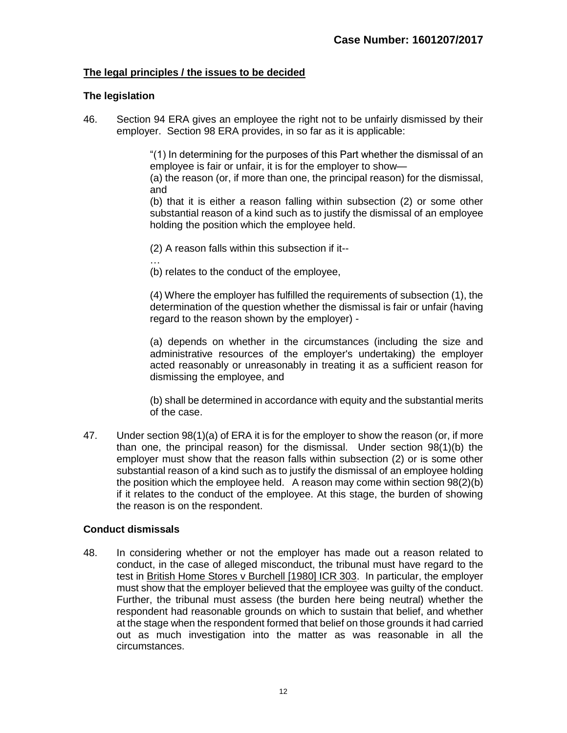## **The legal principles / the issues to be decided**

#### **The legislation**

46. Section 94 ERA gives an employee the right not to be unfairly dismissed by their employer. Section 98 ERA provides, in so far as it is applicable:

> "(1) In determining for the purposes of this Part whether the dismissal of an employee is fair or unfair, it is for the employer to show—

> (a) the reason (or, if more than one, the principal reason) for the dismissal, and

> (b) that it is either a reason falling within subsection (2) or some other substantial reason of a kind such as to justify the dismissal of an employee holding the position which the employee held.

- (2) A reason falls within this subsection if it--
- … (b) relates to the conduct of the employee,

(4) Where the employer has fulfilled the requirements of subsection (1), the determination of the question whether the dismissal is fair or unfair (having regard to the reason shown by the employer) -

(a) depends on whether in the circumstances (including the size and administrative resources of the employer's undertaking) the employer acted reasonably or unreasonably in treating it as a sufficient reason for dismissing the employee, and

(b) shall be determined in accordance with equity and the substantial merits of the case.

47. Under section 98(1)(a) of ERA it is for the employer to show the reason (or, if more than one, the principal reason) for the dismissal. Under section 98(1)(b) the employer must show that the reason falls within subsection (2) or is some other substantial reason of a kind such as to justify the dismissal of an employee holding the position which the employee held. A reason may come within section 98(2)(b) if it relates to the conduct of the employee. At this stage, the burden of showing the reason is on the respondent.

#### **Conduct dismissals**

48. In considering whether or not the employer has made out a reason related to conduct, in the case of alleged misconduct, the tribunal must have regard to the test in British Home Stores v Burchell [1980] ICR 303. In particular, the employer must show that the employer believed that the employee was guilty of the conduct. Further, the tribunal must assess (the burden here being neutral) whether the respondent had reasonable grounds on which to sustain that belief, and whether at the stage when the respondent formed that belief on those grounds it had carried out as much investigation into the matter as was reasonable in all the circumstances.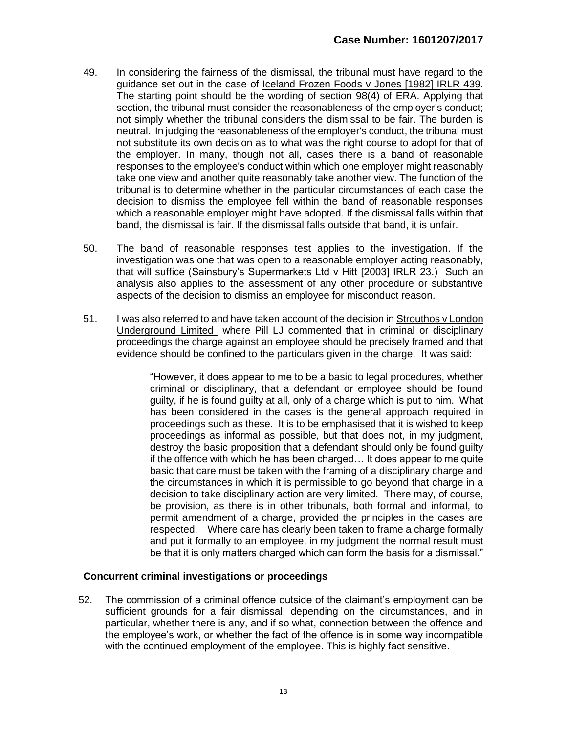- 49. In considering the fairness of the dismissal, the tribunal must have regard to the guidance set out in the case of Iceland Frozen Foods v Jones [1982] IRLR 439. The starting point should be the wording of section 98(4) of ERA. Applying that section, the tribunal must consider the reasonableness of the employer's conduct; not simply whether the tribunal considers the dismissal to be fair. The burden is neutral. In judging the reasonableness of the employer's conduct, the tribunal must not substitute its own decision as to what was the right course to adopt for that of the employer. In many, though not all, cases there is a band of reasonable responses to the employee's conduct within which one employer might reasonably take one view and another quite reasonably take another view. The function of the tribunal is to determine whether in the particular circumstances of each case the decision to dismiss the employee fell within the band of reasonable responses which a reasonable employer might have adopted. If the dismissal falls within that band, the dismissal is fair. If the dismissal falls outside that band, it is unfair.
- 50. The band of reasonable responses test applies to the investigation. If the investigation was one that was open to a reasonable employer acting reasonably, that will suffice (Sainsbury's Supermarkets Ltd v Hitt [2003] IRLR 23.) Such an analysis also applies to the assessment of any other procedure or substantive aspects of the decision to dismiss an employee for misconduct reason.
- 51. I was also referred to and have taken account of the decision in Strouthos v London Underground Limited where Pill LJ commented that in criminal or disciplinary proceedings the charge against an employee should be precisely framed and that evidence should be confined to the particulars given in the charge. It was said:

"However, it does appear to me to be a basic to legal procedures, whether criminal or disciplinary, that a defendant or employee should be found guilty, if he is found guilty at all, only of a charge which is put to him. What has been considered in the cases is the general approach required in proceedings such as these. It is to be emphasised that it is wished to keep proceedings as informal as possible, but that does not, in my judgment, destroy the basic proposition that a defendant should only be found guilty if the offence with which he has been charged… It does appear to me quite basic that care must be taken with the framing of a disciplinary charge and the circumstances in which it is permissible to go beyond that charge in a decision to take disciplinary action are very limited. There may, of course, be provision, as there is in other tribunals, both formal and informal, to permit amendment of a charge, provided the principles in the cases are respected. Where care has clearly been taken to frame a charge formally and put it formally to an employee, in my judgment the normal result must be that it is only matters charged which can form the basis for a dismissal."

# **Concurrent criminal investigations or proceedings**

 52. The commission of a criminal offence outside of the claimant's employment can be sufficient grounds for a fair dismissal, depending on the circumstances, and in particular, whether there is any, and if so what, connection between the offence and the employee's work, or whether the fact of the offence is in some way incompatible with the continued employment of the employee. This is highly fact sensitive.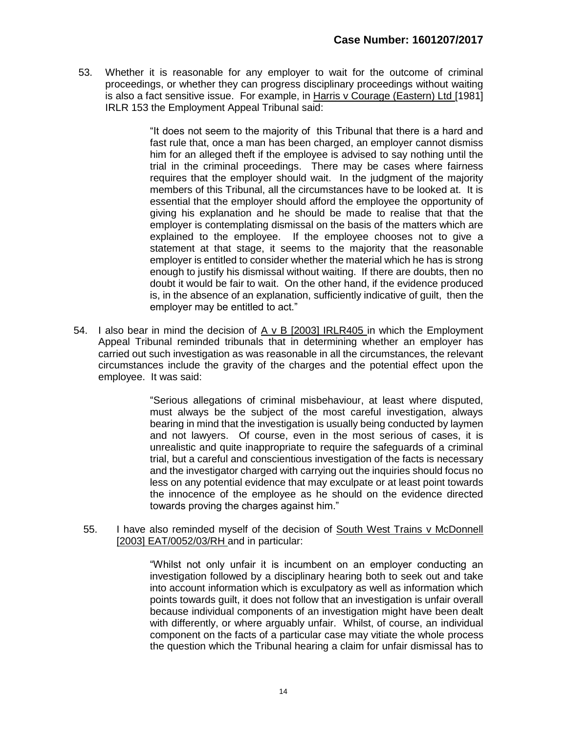53. Whether it is reasonable for any employer to wait for the outcome of criminal proceedings, or whether they can progress disciplinary proceedings without waiting is also a fact sensitive issue. For example, in Harris v Courage (Eastern) Ltd [1981] IRLR 153 the Employment Appeal Tribunal said:

> "It does not seem to the majority of this Tribunal that there is a hard and fast rule that, once a man has been charged, an employer cannot dismiss him for an alleged theft if the employee is advised to say nothing until the trial in the criminal proceedings. There may be cases where fairness requires that the employer should wait. In the judgment of the majority members of this Tribunal, all the circumstances have to be looked at. It is essential that the employer should afford the employee the opportunity of giving his explanation and he should be made to realise that that the employer is contemplating dismissal on the basis of the matters which are explained to the employee. If the employee chooses not to give a statement at that stage, it seems to the majority that the reasonable employer is entitled to consider whether the material which he has is strong enough to justify his dismissal without waiting. If there are doubts, then no doubt it would be fair to wait. On the other hand, if the evidence produced is, in the absence of an explanation, sufficiently indicative of guilt, then the employer may be entitled to act."

54. I also bear in mind the decision of  $A \vee B$  [2003] IRLR405 in which the Employment Appeal Tribunal reminded tribunals that in determining whether an employer has carried out such investigation as was reasonable in all the circumstances, the relevant circumstances include the gravity of the charges and the potential effect upon the employee. It was said:

> "Serious allegations of criminal misbehaviour, at least where disputed, must always be the subject of the most careful investigation, always bearing in mind that the investigation is usually being conducted by laymen and not lawyers. Of course, even in the most serious of cases, it is unrealistic and quite inappropriate to require the safeguards of a criminal trial, but a careful and conscientious investigation of the facts is necessary and the investigator charged with carrying out the inquiries should focus no less on any potential evidence that may exculpate or at least point towards the innocence of the employee as he should on the evidence directed towards proving the charges against him."

55. I have also reminded myself of the decision of South West Trains v McDonnell [2003] EAT/0052/03/RH and in particular:

> "Whilst not only unfair it is incumbent on an employer conducting an investigation followed by a disciplinary hearing both to seek out and take into account information which is exculpatory as well as information which points towards guilt, it does not follow that an investigation is unfair overall because individual components of an investigation might have been dealt with differently, or where arguably unfair. Whilst, of course, an individual component on the facts of a particular case may vitiate the whole process the question which the Tribunal hearing a claim for unfair dismissal has to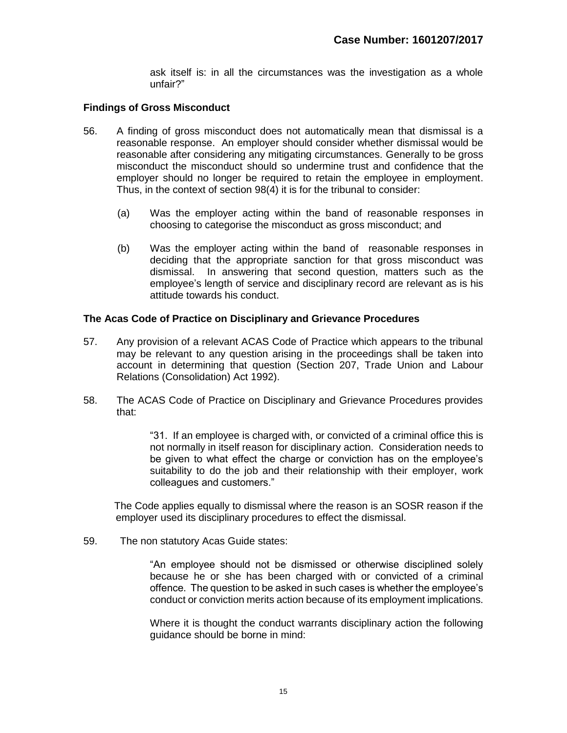ask itself is: in all the circumstances was the investigation as a whole unfair?"

## **Findings of Gross Misconduct**

- 56. A finding of gross misconduct does not automatically mean that dismissal is a reasonable response. An employer should consider whether dismissal would be reasonable after considering any mitigating circumstances. Generally to be gross misconduct the misconduct should so undermine trust and confidence that the employer should no longer be required to retain the employee in employment. Thus, in the context of section 98(4) it is for the tribunal to consider:
	- (a) Was the employer acting within the band of reasonable responses in choosing to categorise the misconduct as gross misconduct; and
	- (b) Was the employer acting within the band of reasonable responses in deciding that the appropriate sanction for that gross misconduct was dismissal. In answering that second question, matters such as the employee's length of service and disciplinary record are relevant as is his attitude towards his conduct.

#### **The Acas Code of Practice on Disciplinary and Grievance Procedures**

- 57. Any provision of a relevant ACAS Code of Practice which appears to the tribunal may be relevant to any question arising in the proceedings shall be taken into account in determining that question (Section 207, Trade Union and Labour Relations (Consolidation) Act 1992).
- 58. The ACAS Code of Practice on Disciplinary and Grievance Procedures provides that:

"31. If an employee is charged with, or convicted of a criminal office this is not normally in itself reason for disciplinary action. Consideration needs to be given to what effect the charge or conviction has on the employee's suitability to do the job and their relationship with their employer, work colleagues and customers."

 The Code applies equally to dismissal where the reason is an SOSR reason if the employer used its disciplinary procedures to effect the dismissal.

59. The non statutory Acas Guide states:

"An employee should not be dismissed or otherwise disciplined solely because he or she has been charged with or convicted of a criminal offence. The question to be asked in such cases is whether the employee's conduct or conviction merits action because of its employment implications.

Where it is thought the conduct warrants disciplinary action the following guidance should be borne in mind: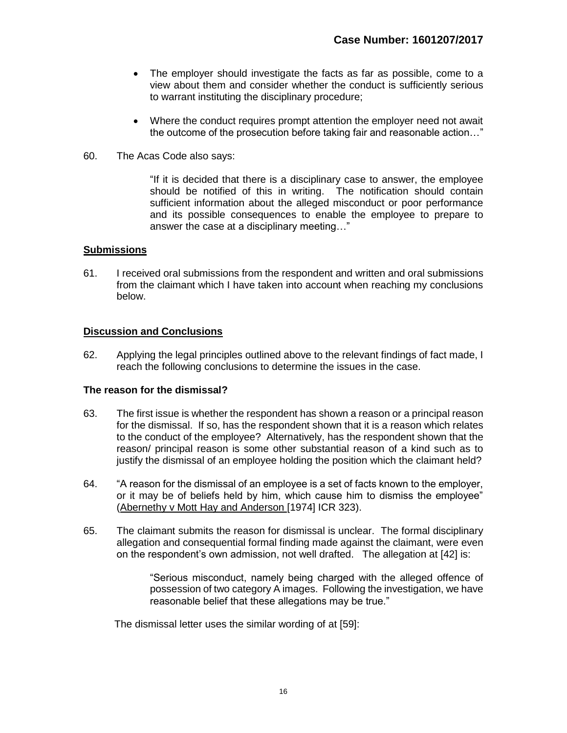- The employer should investigate the facts as far as possible, come to a view about them and consider whether the conduct is sufficiently serious to warrant instituting the disciplinary procedure;
- Where the conduct requires prompt attention the employer need not await the outcome of the prosecution before taking fair and reasonable action…"
- 60. The Acas Code also says:

"If it is decided that there is a disciplinary case to answer, the employee should be notified of this in writing. The notification should contain sufficient information about the alleged misconduct or poor performance and its possible consequences to enable the employee to prepare to answer the case at a disciplinary meeting…"

#### **Submissions**

61. I received oral submissions from the respondent and written and oral submissions from the claimant which I have taken into account when reaching my conclusions below.

#### **Discussion and Conclusions**

62. Applying the legal principles outlined above to the relevant findings of fact made, I reach the following conclusions to determine the issues in the case.

#### **The reason for the dismissal?**

- 63. The first issue is whether the respondent has shown a reason or a principal reason for the dismissal. If so, has the respondent shown that it is a reason which relates to the conduct of the employee? Alternatively, has the respondent shown that the reason/ principal reason is some other substantial reason of a kind such as to justify the dismissal of an employee holding the position which the claimant held?
- 64. "A reason for the dismissal of an employee is a set of facts known to the employer, or it may be of beliefs held by him, which cause him to dismiss the employee" (Abernethy v Mott Hay and Anderson [1974] ICR 323).
- 65. The claimant submits the reason for dismissal is unclear. The formal disciplinary allegation and consequential formal finding made against the claimant, were even on the respondent's own admission, not well drafted. The allegation at [42] is:

"Serious misconduct, namely being charged with the alleged offence of possession of two category A images. Following the investigation, we have reasonable belief that these allegations may be true."

The dismissal letter uses the similar wording of at [59]: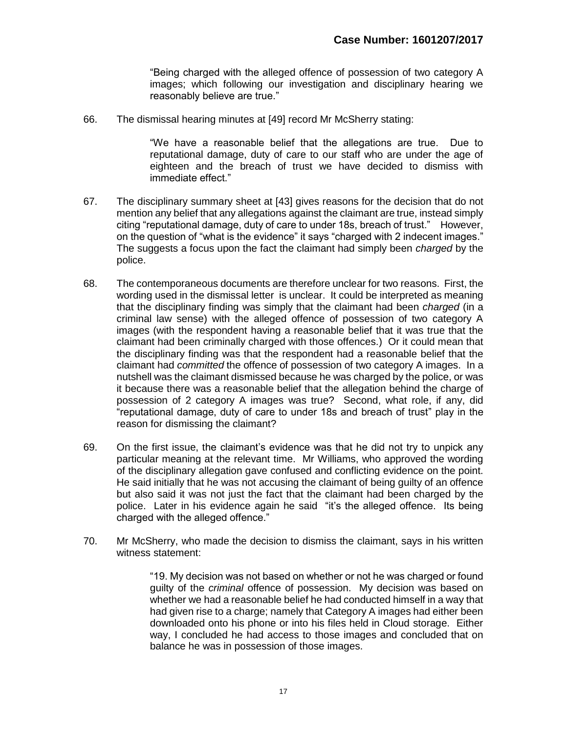"Being charged with the alleged offence of possession of two category A images; which following our investigation and disciplinary hearing we reasonably believe are true."

66. The dismissal hearing minutes at [49] record Mr McSherry stating:

"We have a reasonable belief that the allegations are true. Due to reputational damage, duty of care to our staff who are under the age of eighteen and the breach of trust we have decided to dismiss with immediate effect."

- 67. The disciplinary summary sheet at [43] gives reasons for the decision that do not mention any belief that any allegations against the claimant are true, instead simply citing "reputational damage, duty of care to under 18s, breach of trust." However, on the question of "what is the evidence" it says "charged with 2 indecent images." The suggests a focus upon the fact the claimant had simply been *charged* by the police.
- 68. The contemporaneous documents are therefore unclear for two reasons. First, the wording used in the dismissal letter is unclear. It could be interpreted as meaning that the disciplinary finding was simply that the claimant had been *charged* (in a criminal law sense) with the alleged offence of possession of two category A images (with the respondent having a reasonable belief that it was true that the claimant had been criminally charged with those offences.) Or it could mean that the disciplinary finding was that the respondent had a reasonable belief that the claimant had *committed* the offence of possession of two category A images. In a nutshell was the claimant dismissed because he was charged by the police, or was it because there was a reasonable belief that the allegation behind the charge of possession of 2 category A images was true? Second, what role, if any, did "reputational damage, duty of care to under 18s and breach of trust" play in the reason for dismissing the claimant?
- 69. On the first issue, the claimant's evidence was that he did not try to unpick any particular meaning at the relevant time. Mr Williams, who approved the wording of the disciplinary allegation gave confused and conflicting evidence on the point. He said initially that he was not accusing the claimant of being guilty of an offence but also said it was not just the fact that the claimant had been charged by the police. Later in his evidence again he said "it's the alleged offence. Its being charged with the alleged offence."
- 70. Mr McSherry, who made the decision to dismiss the claimant, says in his written witness statement:

"19. My decision was not based on whether or not he was charged or found guilty of the *criminal* offence of possession. My decision was based on whether we had a reasonable belief he had conducted himself in a way that had given rise to a charge; namely that Category A images had either been downloaded onto his phone or into his files held in Cloud storage. Either way, I concluded he had access to those images and concluded that on balance he was in possession of those images.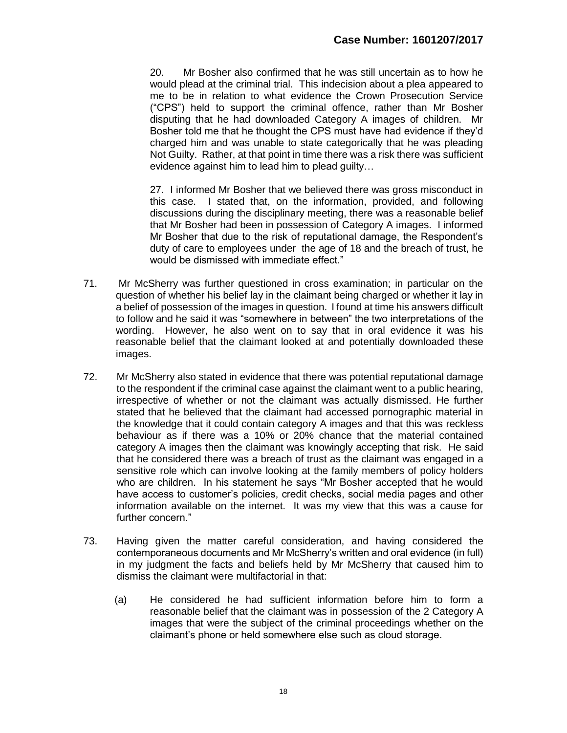20. Mr Bosher also confirmed that he was still uncertain as to how he would plead at the criminal trial. This indecision about a plea appeared to me to be in relation to what evidence the Crown Prosecution Service ("CPS") held to support the criminal offence, rather than Mr Bosher disputing that he had downloaded Category A images of children. Mr Bosher told me that he thought the CPS must have had evidence if they'd charged him and was unable to state categorically that he was pleading Not Guilty. Rather, at that point in time there was a risk there was sufficient evidence against him to lead him to plead guilty…

27. I informed Mr Bosher that we believed there was gross misconduct in this case. I stated that, on the information, provided, and following discussions during the disciplinary meeting, there was a reasonable belief that Mr Bosher had been in possession of Category A images. I informed Mr Bosher that due to the risk of reputational damage, the Respondent's duty of care to employees under the age of 18 and the breach of trust, he would be dismissed with immediate effect."

- 71. Mr McSherry was further questioned in cross examination; in particular on the question of whether his belief lay in the claimant being charged or whether it lay in a belief of possession of the images in question. I found at time his answers difficult to follow and he said it was "somewhere in between" the two interpretations of the wording. However, he also went on to say that in oral evidence it was his reasonable belief that the claimant looked at and potentially downloaded these images.
- 72. Mr McSherry also stated in evidence that there was potential reputational damage to the respondent if the criminal case against the claimant went to a public hearing, irrespective of whether or not the claimant was actually dismissed. He further stated that he believed that the claimant had accessed pornographic material in the knowledge that it could contain category A images and that this was reckless behaviour as if there was a 10% or 20% chance that the material contained category A images then the claimant was knowingly accepting that risk. He said that he considered there was a breach of trust as the claimant was engaged in a sensitive role which can involve looking at the family members of policy holders who are children. In his statement he says "Mr Bosher accepted that he would have access to customer's policies, credit checks, social media pages and other information available on the internet. It was my view that this was a cause for further concern."
- 73. Having given the matter careful consideration, and having considered the contemporaneous documents and Mr McSherry's written and oral evidence (in full) in my judgment the facts and beliefs held by Mr McSherry that caused him to dismiss the claimant were multifactorial in that:
	- (a) He considered he had sufficient information before him to form a reasonable belief that the claimant was in possession of the 2 Category A images that were the subject of the criminal proceedings whether on the claimant's phone or held somewhere else such as cloud storage.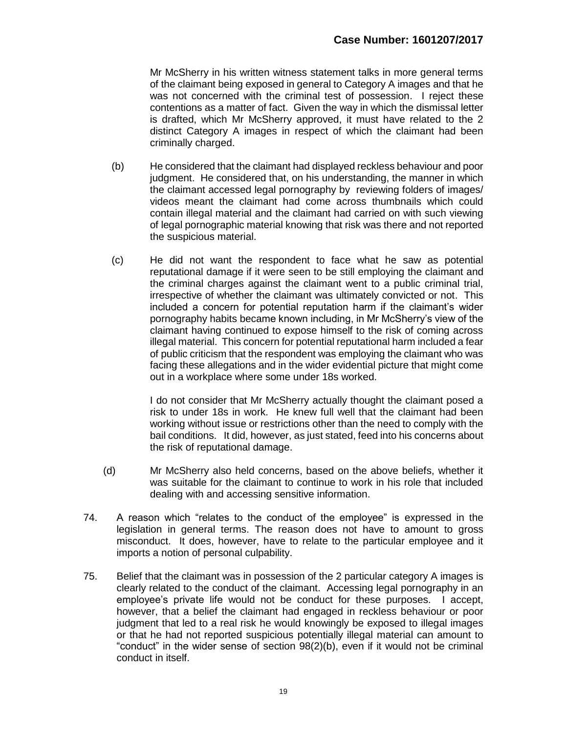Mr McSherry in his written witness statement talks in more general terms of the claimant being exposed in general to Category A images and that he was not concerned with the criminal test of possession. I reject these contentions as a matter of fact. Given the way in which the dismissal letter is drafted, which Mr McSherry approved, it must have related to the 2 distinct Category A images in respect of which the claimant had been criminally charged.

- (b) He considered that the claimant had displayed reckless behaviour and poor judgment. He considered that, on his understanding, the manner in which the claimant accessed legal pornography by reviewing folders of images/ videos meant the claimant had come across thumbnails which could contain illegal material and the claimant had carried on with such viewing of legal pornographic material knowing that risk was there and not reported the suspicious material.
- (c) He did not want the respondent to face what he saw as potential reputational damage if it were seen to be still employing the claimant and the criminal charges against the claimant went to a public criminal trial, irrespective of whether the claimant was ultimately convicted or not. This included a concern for potential reputation harm if the claimant's wider pornography habits became known including, in Mr McSherry's view of the claimant having continued to expose himself to the risk of coming across illegal material. This concern for potential reputational harm included a fear of public criticism that the respondent was employing the claimant who was facing these allegations and in the wider evidential picture that might come out in a workplace where some under 18s worked.

I do not consider that Mr McSherry actually thought the claimant posed a risk to under 18s in work. He knew full well that the claimant had been working without issue or restrictions other than the need to comply with the bail conditions. It did, however, as just stated, feed into his concerns about the risk of reputational damage.

- (d) Mr McSherry also held concerns, based on the above beliefs, whether it was suitable for the claimant to continue to work in his role that included dealing with and accessing sensitive information.
- 74. A reason which "relates to the conduct of the employee" is expressed in the legislation in general terms. The reason does not have to amount to gross misconduct. It does, however, have to relate to the particular employee and it imports a notion of personal culpability.
- 75. Belief that the claimant was in possession of the 2 particular category A images is clearly related to the conduct of the claimant. Accessing legal pornography in an employee's private life would not be conduct for these purposes. I accept, however, that a belief the claimant had engaged in reckless behaviour or poor judgment that led to a real risk he would knowingly be exposed to illegal images or that he had not reported suspicious potentially illegal material can amount to "conduct" in the wider sense of section 98(2)(b), even if it would not be criminal conduct in itself.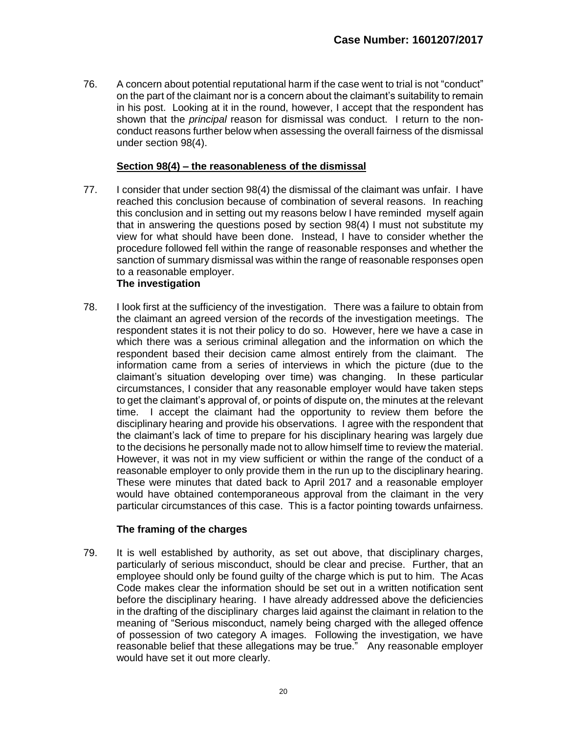76. A concern about potential reputational harm if the case went to trial is not "conduct" on the part of the claimant nor is a concern about the claimant's suitability to remain in his post. Looking at it in the round, however, I accept that the respondent has shown that the *principal* reason for dismissal was conduct. I return to the nonconduct reasons further below when assessing the overall fairness of the dismissal under section 98(4).

## **Section 98(4) – the reasonableness of the dismissal**

77. I consider that under section 98(4) the dismissal of the claimant was unfair. I have reached this conclusion because of combination of several reasons. In reaching this conclusion and in setting out my reasons below I have reminded myself again that in answering the questions posed by section 98(4) I must not substitute my view for what should have been done. Instead, I have to consider whether the procedure followed fell within the range of reasonable responses and whether the sanction of summary dismissal was within the range of reasonable responses open to a reasonable employer.

## **The investigation**

78. I look first at the sufficiency of the investigation. There was a failure to obtain from the claimant an agreed version of the records of the investigation meetings. The respondent states it is not their policy to do so. However, here we have a case in which there was a serious criminal allegation and the information on which the respondent based their decision came almost entirely from the claimant. The information came from a series of interviews in which the picture (due to the claimant's situation developing over time) was changing. In these particular circumstances, I consider that any reasonable employer would have taken steps to get the claimant's approval of, or points of dispute on, the minutes at the relevant time. I accept the claimant had the opportunity to review them before the disciplinary hearing and provide his observations. I agree with the respondent that the claimant's lack of time to prepare for his disciplinary hearing was largely due to the decisions he personally made not to allow himself time to review the material. However, it was not in my view sufficient or within the range of the conduct of a reasonable employer to only provide them in the run up to the disciplinary hearing. These were minutes that dated back to April 2017 and a reasonable employer would have obtained contemporaneous approval from the claimant in the very particular circumstances of this case. This is a factor pointing towards unfairness.

#### **The framing of the charges**

79. It is well established by authority, as set out above, that disciplinary charges, particularly of serious misconduct, should be clear and precise. Further, that an employee should only be found guilty of the charge which is put to him. The Acas Code makes clear the information should be set out in a written notification sent before the disciplinary hearing. I have already addressed above the deficiencies in the drafting of the disciplinary charges laid against the claimant in relation to the meaning of "Serious misconduct, namely being charged with the alleged offence of possession of two category A images. Following the investigation, we have reasonable belief that these allegations may be true." Any reasonable employer would have set it out more clearly.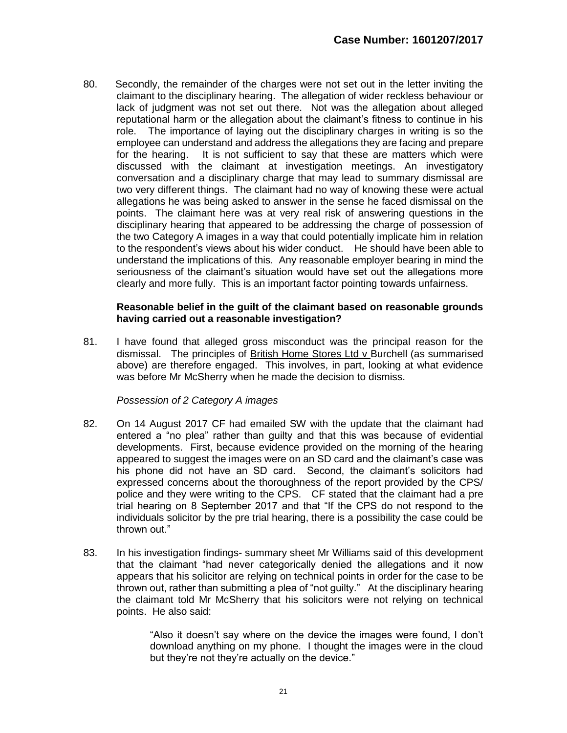80. Secondly, the remainder of the charges were not set out in the letter inviting the claimant to the disciplinary hearing. The allegation of wider reckless behaviour or lack of judgment was not set out there. Not was the allegation about alleged reputational harm or the allegation about the claimant's fitness to continue in his role. The importance of laying out the disciplinary charges in writing is so the employee can understand and address the allegations they are facing and prepare for the hearing. It is not sufficient to say that these are matters which were discussed with the claimant at investigation meetings. An investigatory conversation and a disciplinary charge that may lead to summary dismissal are two very different things. The claimant had no way of knowing these were actual allegations he was being asked to answer in the sense he faced dismissal on the points. The claimant here was at very real risk of answering questions in the disciplinary hearing that appeared to be addressing the charge of possession of the two Category A images in a way that could potentially implicate him in relation to the respondent's views about his wider conduct. He should have been able to understand the implications of this. Any reasonable employer bearing in mind the seriousness of the claimant's situation would have set out the allegations more clearly and more fully. This is an important factor pointing towards unfairness.

#### **Reasonable belief in the guilt of the claimant based on reasonable grounds having carried out a reasonable investigation?**

81. I have found that alleged gross misconduct was the principal reason for the dismissal. The principles of British Home Stores Ltd v Burchell (as summarised above) are therefore engaged. This involves, in part, looking at what evidence was before Mr McSherry when he made the decision to dismiss.

#### *Possession of 2 Category A images*

- 82. On 14 August 2017 CF had emailed SW with the update that the claimant had entered a "no plea" rather than guilty and that this was because of evidential developments. First, because evidence provided on the morning of the hearing appeared to suggest the images were on an SD card and the claimant's case was his phone did not have an SD card. Second, the claimant's solicitors had expressed concerns about the thoroughness of the report provided by the CPS/ police and they were writing to the CPS. CF stated that the claimant had a pre trial hearing on 8 September 2017 and that "If the CPS do not respond to the individuals solicitor by the pre trial hearing, there is a possibility the case could be thrown out."
- 83. In his investigation findings- summary sheet Mr Williams said of this development that the claimant "had never categorically denied the allegations and it now appears that his solicitor are relying on technical points in order for the case to be thrown out, rather than submitting a plea of "not guilty." At the disciplinary hearing the claimant told Mr McSherry that his solicitors were not relying on technical points. He also said:

"Also it doesn't say where on the device the images were found, I don't download anything on my phone. I thought the images were in the cloud but they're not they're actually on the device."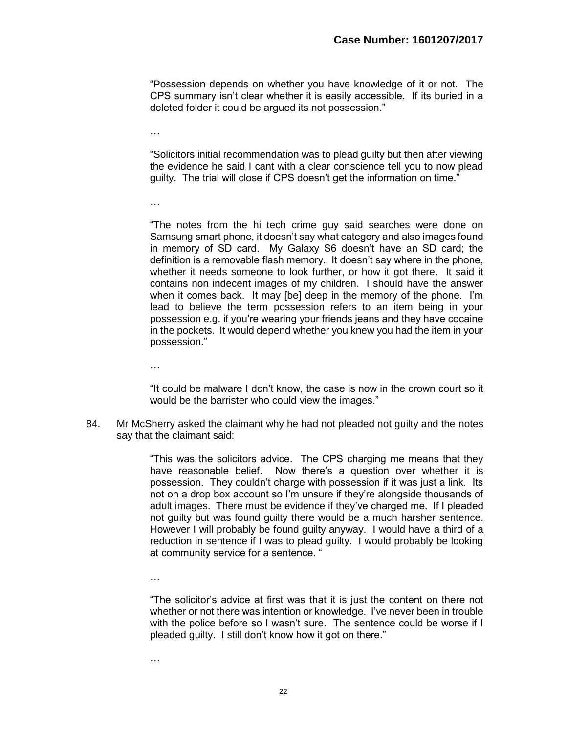"Possession depends on whether you have knowledge of it or not. The CPS summary isn't clear whether it is easily accessible. If its buried in a deleted folder it could be argued its not possession."

…

"Solicitors initial recommendation was to plead guilty but then after viewing the evidence he said I cant with a clear conscience tell you to now plead guilty. The trial will close if CPS doesn't get the information on time."

…

"The notes from the hi tech crime guy said searches were done on Samsung smart phone, it doesn't say what category and also images found in memory of SD card. My Galaxy S6 doesn't have an SD card; the definition is a removable flash memory. It doesn't say where in the phone, whether it needs someone to look further, or how it got there. It said it contains non indecent images of my children. I should have the answer when it comes back. It may [be] deep in the memory of the phone. I'm lead to believe the term possession refers to an item being in your possession e.g. if you're wearing your friends jeans and they have cocaine in the pockets. It would depend whether you knew you had the item in your possession."

…

"It could be malware I don't know, the case is now in the crown court so it would be the barrister who could view the images."

84. Mr McSherry asked the claimant why he had not pleaded not guilty and the notes say that the claimant said:

> "This was the solicitors advice. The CPS charging me means that they have reasonable belief. Now there's a question over whether it is possession. They couldn't charge with possession if it was just a link. Its not on a drop box account so I'm unsure if they're alongside thousands of adult images. There must be evidence if they've charged me. If I pleaded not guilty but was found guilty there would be a much harsher sentence. However I will probably be found guilty anyway. I would have a third of a reduction in sentence if I was to plead guilty. I would probably be looking at community service for a sentence. "

…

"The solicitor's advice at first was that it is just the content on there not whether or not there was intention or knowledge. I've never been in trouble with the police before so I wasn't sure. The sentence could be worse if I pleaded guilty. I still don't know how it got on there."

…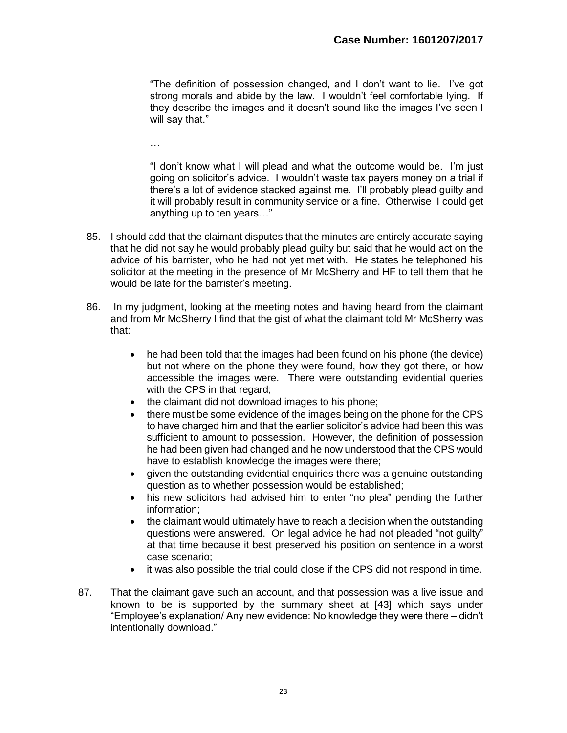"The definition of possession changed, and I don't want to lie. I've got strong morals and abide by the law. I wouldn't feel comfortable lying. If they describe the images and it doesn't sound like the images I've seen I will say that."

…

"I don't know what I will plead and what the outcome would be. I'm just going on solicitor's advice. I wouldn't waste tax payers money on a trial if there's a lot of evidence stacked against me. I'll probably plead guilty and it will probably result in community service or a fine. Otherwise I could get anything up to ten years…"

- 85. I should add that the claimant disputes that the minutes are entirely accurate saying that he did not say he would probably plead guilty but said that he would act on the advice of his barrister, who he had not yet met with. He states he telephoned his solicitor at the meeting in the presence of Mr McSherry and HF to tell them that he would be late for the barrister's meeting.
- 86. In my judgment, looking at the meeting notes and having heard from the claimant and from Mr McSherry I find that the gist of what the claimant told Mr McSherry was that:
	- he had been told that the images had been found on his phone (the device) but not where on the phone they were found, how they got there, or how accessible the images were. There were outstanding evidential queries with the CPS in that regard;
	- the claimant did not download images to his phone;
	- there must be some evidence of the images being on the phone for the CPS to have charged him and that the earlier solicitor's advice had been this was sufficient to amount to possession. However, the definition of possession he had been given had changed and he now understood that the CPS would have to establish knowledge the images were there;
	- given the outstanding evidential enquiries there was a genuine outstanding question as to whether possession would be established;
	- his new solicitors had advised him to enter "no plea" pending the further information;
	- the claimant would ultimately have to reach a decision when the outstanding questions were answered. On legal advice he had not pleaded "not guilty" at that time because it best preserved his position on sentence in a worst case scenario;
	- it was also possible the trial could close if the CPS did not respond in time.
- 87. That the claimant gave such an account, and that possession was a live issue and known to be is supported by the summary sheet at [43] which says under "Employee's explanation/ Any new evidence: No knowledge they were there – didn't intentionally download."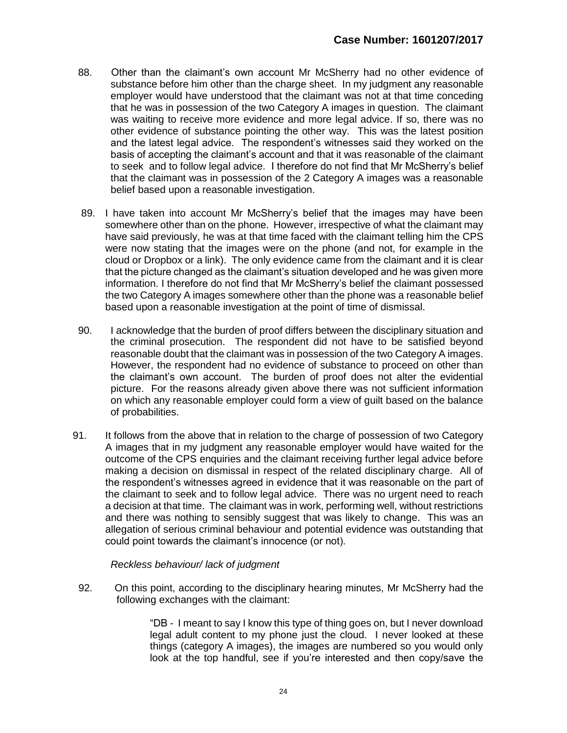- 88. Other than the claimant's own account Mr McSherry had no other evidence of substance before him other than the charge sheet. In my judgment any reasonable employer would have understood that the claimant was not at that time conceding that he was in possession of the two Category A images in question. The claimant was waiting to receive more evidence and more legal advice. If so, there was no other evidence of substance pointing the other way. This was the latest position and the latest legal advice. The respondent's witnesses said they worked on the basis of accepting the claimant's account and that it was reasonable of the claimant to seek and to follow legal advice. I therefore do not find that Mr McSherry's belief that the claimant was in possession of the 2 Category A images was a reasonable belief based upon a reasonable investigation.
- 89. I have taken into account Mr McSherry's belief that the images may have been somewhere other than on the phone. However, irrespective of what the claimant may have said previously, he was at that time faced with the claimant telling him the CPS were now stating that the images were on the phone (and not, for example in the cloud or Dropbox or a link). The only evidence came from the claimant and it is clear that the picture changed as the claimant's situation developed and he was given more information. I therefore do not find that Mr McSherry's belief the claimant possessed the two Category A images somewhere other than the phone was a reasonable belief based upon a reasonable investigation at the point of time of dismissal.
- 90. I acknowledge that the burden of proof differs between the disciplinary situation and the criminal prosecution. The respondent did not have to be satisfied beyond reasonable doubt that the claimant was in possession of the two Category A images. However, the respondent had no evidence of substance to proceed on other than the claimant's own account. The burden of proof does not alter the evidential picture. For the reasons already given above there was not sufficient information on which any reasonable employer could form a view of guilt based on the balance of probabilities.
- 91. It follows from the above that in relation to the charge of possession of two Category A images that in my judgment any reasonable employer would have waited for the outcome of the CPS enquiries and the claimant receiving further legal advice before making a decision on dismissal in respect of the related disciplinary charge. All of the respondent's witnesses agreed in evidence that it was reasonable on the part of the claimant to seek and to follow legal advice. There was no urgent need to reach a decision at that time. The claimant was in work, performing well, without restrictions and there was nothing to sensibly suggest that was likely to change. This was an allegation of serious criminal behaviour and potential evidence was outstanding that could point towards the claimant's innocence (or not).

#### *Reckless behaviour/ lack of judgment*

 92. On this point, according to the disciplinary hearing minutes, Mr McSherry had the following exchanges with the claimant:

> "DB - I meant to say I know this type of thing goes on, but I never download legal adult content to my phone just the cloud. I never looked at these things (category A images), the images are numbered so you would only look at the top handful, see if you're interested and then copy/save the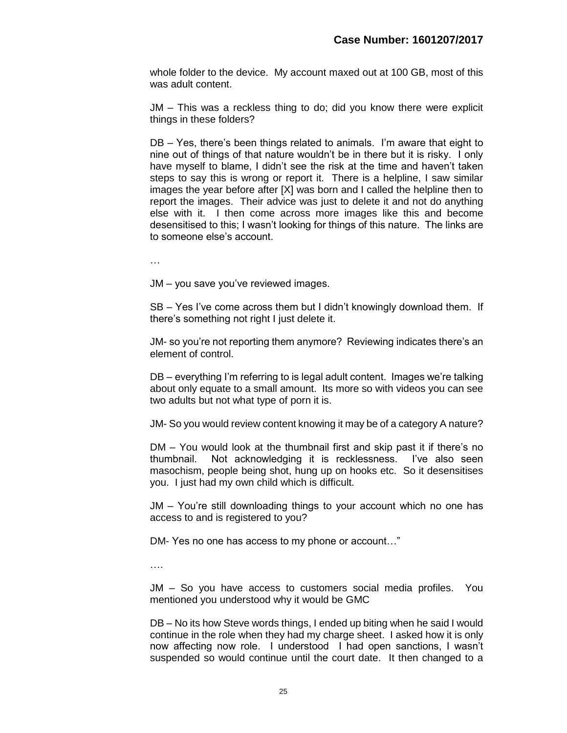whole folder to the device. My account maxed out at 100 GB, most of this was adult content.

JM – This was a reckless thing to do; did you know there were explicit things in these folders?

DB – Yes, there's been things related to animals. I'm aware that eight to nine out of things of that nature wouldn't be in there but it is risky. I only have myself to blame, I didn't see the risk at the time and haven't taken steps to say this is wrong or report it. There is a helpline, I saw similar images the year before after [X] was born and I called the helpline then to report the images. Their advice was just to delete it and not do anything else with it. I then come across more images like this and become desensitised to this; I wasn't looking for things of this nature. The links are to someone else's account.

…

JM – you save you've reviewed images.

SB – Yes I've come across them but I didn't knowingly download them. If there's something not right I just delete it.

JM- so you're not reporting them anymore? Reviewing indicates there's an element of control.

DB – everything I'm referring to is legal adult content. Images we're talking about only equate to a small amount. Its more so with videos you can see two adults but not what type of porn it is.

JM- So you would review content knowing it may be of a category A nature?

DM – You would look at the thumbnail first and skip past it if there's no thumbnail. Not acknowledging it is recklessness. I've also seen masochism, people being shot, hung up on hooks etc. So it desensitises you. I just had my own child which is difficult.

JM – You're still downloading things to your account which no one has access to and is registered to you?

DM- Yes no one has access to my phone or account…"

….

JM – So you have access to customers social media profiles. You mentioned you understood why it would be GMC

DB – No its how Steve words things, I ended up biting when he said I would continue in the role when they had my charge sheet. I asked how it is only now affecting now role. I understood I had open sanctions, I wasn't suspended so would continue until the court date. It then changed to a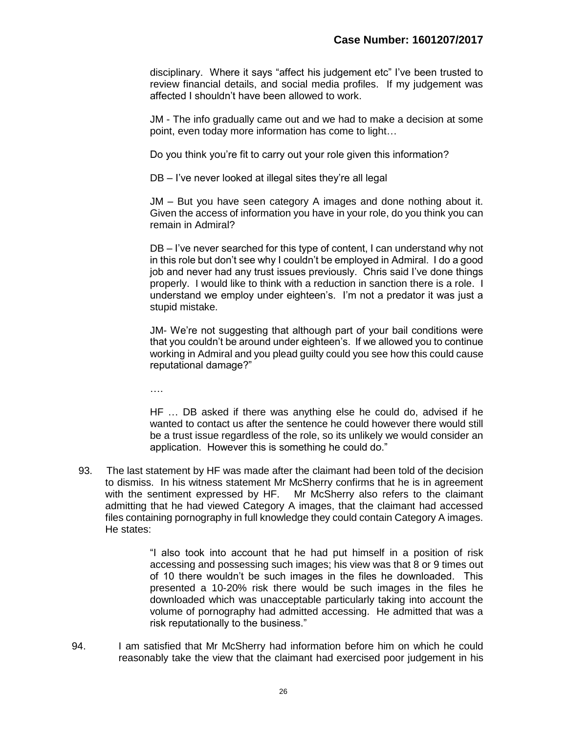disciplinary. Where it says "affect his judgement etc" I've been trusted to review financial details, and social media profiles. If my judgement was affected I shouldn't have been allowed to work.

 JM - The info gradually came out and we had to make a decision at some point, even today more information has come to light…

Do you think you're fit to carry out your role given this information?

DB – I've never looked at illegal sites they're all legal

JM – But you have seen category A images and done nothing about it. Given the access of information you have in your role, do you think you can remain in Admiral?

DB – I've never searched for this type of content, I can understand why not in this role but don't see why I couldn't be employed in Admiral. I do a good job and never had any trust issues previously. Chris said I've done things properly. I would like to think with a reduction in sanction there is a role. I understand we employ under eighteen's. I'm not a predator it was just a stupid mistake.

JM- We're not suggesting that although part of your bail conditions were that you couldn't be around under eighteen's. If we allowed you to continue working in Admiral and you plead guilty could you see how this could cause reputational damage?"

….

HF … DB asked if there was anything else he could do, advised if he wanted to contact us after the sentence he could however there would still be a trust issue regardless of the role, so its unlikely we would consider an application. However this is something he could do."

 93. The last statement by HF was made after the claimant had been told of the decision to dismiss. In his witness statement Mr McSherry confirms that he is in agreement with the sentiment expressed by HF. Mr McSherry also refers to the claimant admitting that he had viewed Category A images, that the claimant had accessed files containing pornography in full knowledge they could contain Category A images. He states:

> "I also took into account that he had put himself in a position of risk accessing and possessing such images; his view was that 8 or 9 times out of 10 there wouldn't be such images in the files he downloaded. This presented a 10-20% risk there would be such images in the files he downloaded which was unacceptable particularly taking into account the volume of pornography had admitted accessing. He admitted that was a risk reputationally to the business."

 94. I am satisfied that Mr McSherry had information before him on which he could reasonably take the view that the claimant had exercised poor judgement in his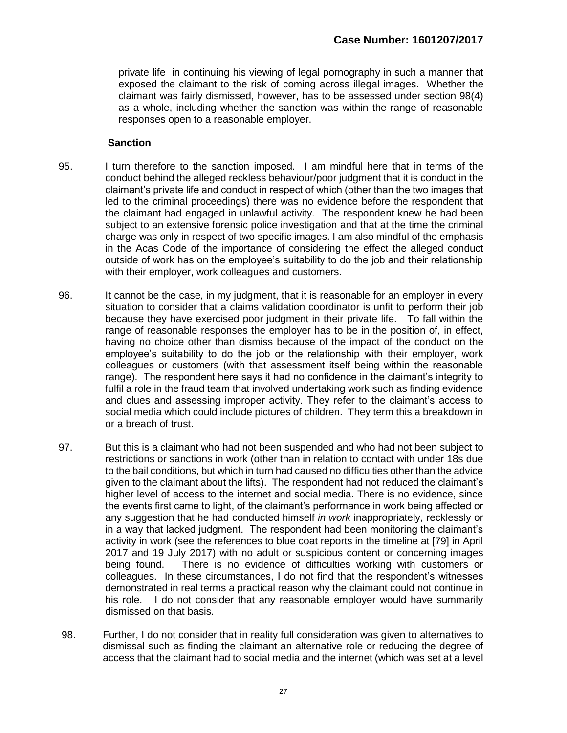private life in continuing his viewing of legal pornography in such a manner that exposed the claimant to the risk of coming across illegal images. Whether the claimant was fairly dismissed, however, has to be assessed under section 98(4) as a whole, including whether the sanction was within the range of reasonable responses open to a reasonable employer.

### **Sanction**

- 95. I turn therefore to the sanction imposed. I am mindful here that in terms of the conduct behind the alleged reckless behaviour/poor judgment that it is conduct in the claimant's private life and conduct in respect of which (other than the two images that led to the criminal proceedings) there was no evidence before the respondent that the claimant had engaged in unlawful activity. The respondent knew he had been subject to an extensive forensic police investigation and that at the time the criminal charge was only in respect of two specific images. I am also mindful of the emphasis in the Acas Code of the importance of considering the effect the alleged conduct outside of work has on the employee's suitability to do the job and their relationship with their employer, work colleagues and customers.
- 96. It cannot be the case, in my judgment, that it is reasonable for an employer in every situation to consider that a claims validation coordinator is unfit to perform their job because they have exercised poor judgment in their private life. To fall within the range of reasonable responses the employer has to be in the position of, in effect, having no choice other than dismiss because of the impact of the conduct on the employee's suitability to do the job or the relationship with their employer, work colleagues or customers (with that assessment itself being within the reasonable range). The respondent here says it had no confidence in the claimant's integrity to fulfil a role in the fraud team that involved undertaking work such as finding evidence and clues and assessing improper activity. They refer to the claimant's access to social media which could include pictures of children. They term this a breakdown in or a breach of trust.
- 97. But this is a claimant who had not been suspended and who had not been subject to restrictions or sanctions in work (other than in relation to contact with under 18s due to the bail conditions, but which in turn had caused no difficulties other than the advice given to the claimant about the lifts). The respondent had not reduced the claimant's higher level of access to the internet and social media. There is no evidence, since the events first came to light, of the claimant's performance in work being affected or any suggestion that he had conducted himself *in work* inappropriately, recklessly or in a way that lacked judgment. The respondent had been monitoring the claimant's activity in work (see the references to blue coat reports in the timeline at [79] in April 2017 and 19 July 2017) with no adult or suspicious content or concerning images being found. There is no evidence of difficulties working with customers or colleagues. In these circumstances, I do not find that the respondent's witnesses demonstrated in real terms a practical reason why the claimant could not continue in his role. I do not consider that any reasonable employer would have summarily dismissed on that basis.
- 98. Further, I do not consider that in reality full consideration was given to alternatives to dismissal such as finding the claimant an alternative role or reducing the degree of access that the claimant had to social media and the internet (which was set at a level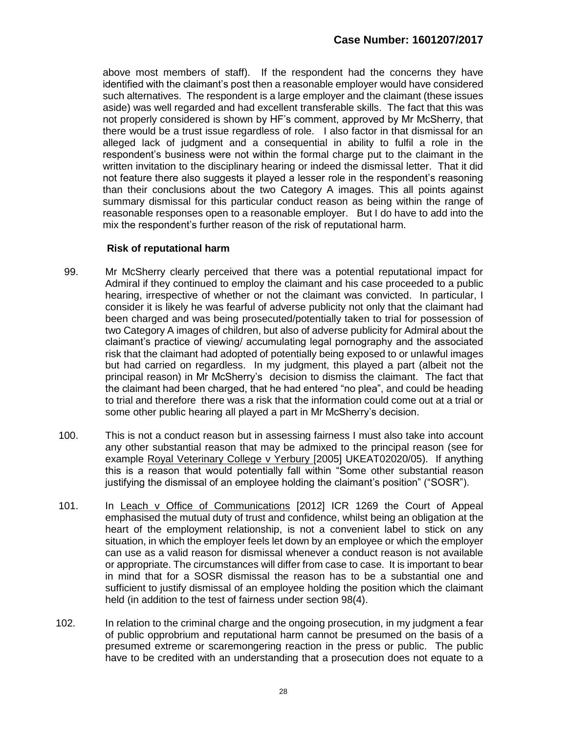above most members of staff). If the respondent had the concerns they have identified with the claimant's post then a reasonable employer would have considered such alternatives. The respondent is a large employer and the claimant (these issues aside) was well regarded and had excellent transferable skills. The fact that this was not properly considered is shown by HF's comment, approved by Mr McSherry, that there would be a trust issue regardless of role. I also factor in that dismissal for an alleged lack of judgment and a consequential in ability to fulfil a role in the respondent's business were not within the formal charge put to the claimant in the written invitation to the disciplinary hearing or indeed the dismissal letter. That it did not feature there also suggests it played a lesser role in the respondent's reasoning than their conclusions about the two Category A images. This all points against summary dismissal for this particular conduct reason as being within the range of reasonable responses open to a reasonable employer. But I do have to add into the mix the respondent's further reason of the risk of reputational harm.

## **Risk of reputational harm**

- 99. Mr McSherry clearly perceived that there was a potential reputational impact for Admiral if they continued to employ the claimant and his case proceeded to a public hearing, irrespective of whether or not the claimant was convicted. In particular, I consider it is likely he was fearful of adverse publicity not only that the claimant had been charged and was being prosecuted/potentially taken to trial for possession of two Category A images of children, but also of adverse publicity for Admiral about the claimant's practice of viewing/ accumulating legal pornography and the associated risk that the claimant had adopted of potentially being exposed to or unlawful images but had carried on regardless. In my judgment, this played a part (albeit not the principal reason) in Mr McSherry's decision to dismiss the claimant. The fact that the claimant had been charged, that he had entered "no plea", and could be heading to trial and therefore there was a risk that the information could come out at a trial or some other public hearing all played a part in Mr McSherry's decision.
- 100. This is not a conduct reason but in assessing fairness I must also take into account any other substantial reason that may be admixed to the principal reason (see for example Royal Veterinary College v Yerbury [2005] UKEAT02020/05). If anything this is a reason that would potentially fall within "Some other substantial reason justifying the dismissal of an employee holding the claimant's position" ("SOSR").
- 101. In Leach v Office of Communications [2012] ICR 1269 the Court of Appeal emphasised the mutual duty of trust and confidence, whilst being an obligation at the heart of the employment relationship, is not a convenient label to stick on any situation, in which the employer feels let down by an employee or which the employer can use as a valid reason for dismissal whenever a conduct reason is not available or appropriate. The circumstances will differ from case to case. It is important to bear in mind that for a SOSR dismissal the reason has to be a substantial one and sufficient to justify dismissal of an employee holding the position which the claimant held (in addition to the test of fairness under section 98(4).
- 102. In relation to the criminal charge and the ongoing prosecution, in my judgment a fear of public opprobrium and reputational harm cannot be presumed on the basis of a presumed extreme or scaremongering reaction in the press or public. The public have to be credited with an understanding that a prosecution does not equate to a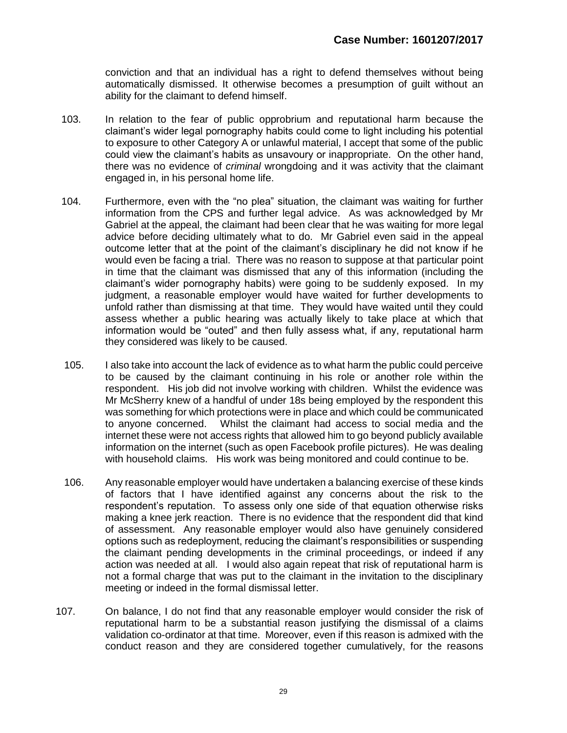conviction and that an individual has a right to defend themselves without being automatically dismissed. It otherwise becomes a presumption of guilt without an ability for the claimant to defend himself.

- 103. In relation to the fear of public opprobrium and reputational harm because the claimant's wider legal pornography habits could come to light including his potential to exposure to other Category A or unlawful material, I accept that some of the public could view the claimant's habits as unsavoury or inappropriate. On the other hand, there was no evidence of *criminal* wrongdoing and it was activity that the claimant engaged in, in his personal home life.
- 104. Furthermore, even with the "no plea" situation, the claimant was waiting for further information from the CPS and further legal advice. As was acknowledged by Mr Gabriel at the appeal, the claimant had been clear that he was waiting for more legal advice before deciding ultimately what to do. Mr Gabriel even said in the appeal outcome letter that at the point of the claimant's disciplinary he did not know if he would even be facing a trial. There was no reason to suppose at that particular point in time that the claimant was dismissed that any of this information (including the claimant's wider pornography habits) were going to be suddenly exposed. In my judgment, a reasonable employer would have waited for further developments to unfold rather than dismissing at that time. They would have waited until they could assess whether a public hearing was actually likely to take place at which that information would be "outed" and then fully assess what, if any, reputational harm they considered was likely to be caused.
- 105. I also take into account the lack of evidence as to what harm the public could perceive to be caused by the claimant continuing in his role or another role within the respondent. His job did not involve working with children. Whilst the evidence was Mr McSherry knew of a handful of under 18s being employed by the respondent this was something for which protections were in place and which could be communicated to anyone concerned. Whilst the claimant had access to social media and the internet these were not access rights that allowed him to go beyond publicly available information on the internet (such as open Facebook profile pictures). He was dealing with household claims. His work was being monitored and could continue to be.
- 106. Any reasonable employer would have undertaken a balancing exercise of these kinds of factors that I have identified against any concerns about the risk to the respondent's reputation. To assess only one side of that equation otherwise risks making a knee jerk reaction. There is no evidence that the respondent did that kind of assessment. Any reasonable employer would also have genuinely considered options such as redeployment, reducing the claimant's responsibilities or suspending the claimant pending developments in the criminal proceedings, or indeed if any action was needed at all. I would also again repeat that risk of reputational harm is not a formal charge that was put to the claimant in the invitation to the disciplinary meeting or indeed in the formal dismissal letter.
- 107. On balance, I do not find that any reasonable employer would consider the risk of reputational harm to be a substantial reason justifying the dismissal of a claims validation co-ordinator at that time. Moreover, even if this reason is admixed with the conduct reason and they are considered together cumulatively, for the reasons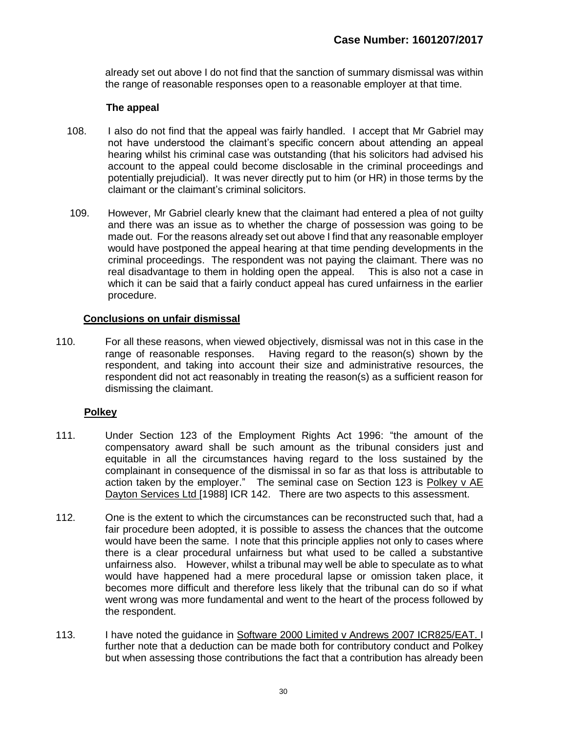already set out above I do not find that the sanction of summary dismissal was within the range of reasonable responses open to a reasonable employer at that time.

#### **The appeal**

- 108. I also do not find that the appeal was fairly handled. I accept that Mr Gabriel may not have understood the claimant's specific concern about attending an appeal hearing whilst his criminal case was outstanding (that his solicitors had advised his account to the appeal could become disclosable in the criminal proceedings and potentially prejudicial). It was never directly put to him (or HR) in those terms by the claimant or the claimant's criminal solicitors.
- 109. However, Mr Gabriel clearly knew that the claimant had entered a plea of not guilty and there was an issue as to whether the charge of possession was going to be made out. For the reasons already set out above I find that any reasonable employer would have postponed the appeal hearing at that time pending developments in the criminal proceedings. The respondent was not paying the claimant. There was no real disadvantage to them in holding open the appeal. This is also not a case in which it can be said that a fairly conduct appeal has cured unfairness in the earlier procedure.

## **Conclusions on unfair dismissal**

 110. For all these reasons, when viewed objectively, dismissal was not in this case in the range of reasonable responses. Having regard to the reason(s) shown by the respondent, and taking into account their size and administrative resources, the respondent did not act reasonably in treating the reason(s) as a sufficient reason for dismissing the claimant.

# **Polkey**

- 111. Under Section 123 of the Employment Rights Act 1996: "the amount of the compensatory award shall be such amount as the tribunal considers just and equitable in all the circumstances having regard to the loss sustained by the complainant in consequence of the dismissal in so far as that loss is attributable to action taken by the employer." The seminal case on Section 123 is Polkey v AE Dayton Services Ltd [1988] ICR 142. There are two aspects to this assessment.
- 112. One is the extent to which the circumstances can be reconstructed such that, had a fair procedure been adopted, it is possible to assess the chances that the outcome would have been the same. I note that this principle applies not only to cases where there is a clear procedural unfairness but what used to be called a substantive unfairness also. However, whilst a tribunal may well be able to speculate as to what would have happened had a mere procedural lapse or omission taken place, it becomes more difficult and therefore less likely that the tribunal can do so if what went wrong was more fundamental and went to the heart of the process followed by the respondent.
- 113. I have noted the guidance in Software 2000 Limited v Andrews 2007 ICR825/EAT. I further note that a deduction can be made both for contributory conduct and Polkey but when assessing those contributions the fact that a contribution has already been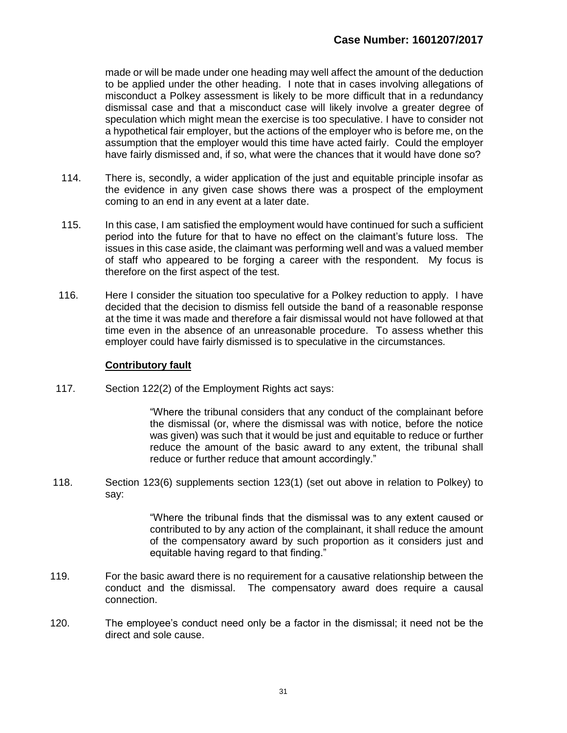made or will be made under one heading may well affect the amount of the deduction to be applied under the other heading. I note that in cases involving allegations of misconduct a Polkey assessment is likely to be more difficult that in a redundancy dismissal case and that a misconduct case will likely involve a greater degree of speculation which might mean the exercise is too speculative. I have to consider not a hypothetical fair employer, but the actions of the employer who is before me, on the assumption that the employer would this time have acted fairly. Could the employer have fairly dismissed and, if so, what were the chances that it would have done so?

- 114. There is, secondly, a wider application of the just and equitable principle insofar as the evidence in any given case shows there was a prospect of the employment coming to an end in any event at a later date.
- 115. In this case, I am satisfied the employment would have continued for such a sufficient period into the future for that to have no effect on the claimant's future loss. The issues in this case aside, the claimant was performing well and was a valued member of staff who appeared to be forging a career with the respondent. My focus is therefore on the first aspect of the test.
- 116. Here I consider the situation too speculative for a Polkey reduction to apply. I have decided that the decision to dismiss fell outside the band of a reasonable response at the time it was made and therefore a fair dismissal would not have followed at that time even in the absence of an unreasonable procedure. To assess whether this employer could have fairly dismissed is to speculative in the circumstances.

## **Contributory fault**

117. Section 122(2) of the Employment Rights act says:

"Where the tribunal considers that any conduct of the complainant before the dismissal (or, where the dismissal was with notice, before the notice was given) was such that it would be just and equitable to reduce or further reduce the amount of the basic award to any extent, the tribunal shall reduce or further reduce that amount accordingly."

 118. Section 123(6) supplements section 123(1) (set out above in relation to Polkey) to say:

> "Where the tribunal finds that the dismissal was to any extent caused or contributed to by any action of the complainant, it shall reduce the amount of the compensatory award by such proportion as it considers just and equitable having regard to that finding."

- 119. For the basic award there is no requirement for a causative relationship between the conduct and the dismissal. The compensatory award does require a causal connection.
- 120. The employee's conduct need only be a factor in the dismissal; it need not be the direct and sole cause.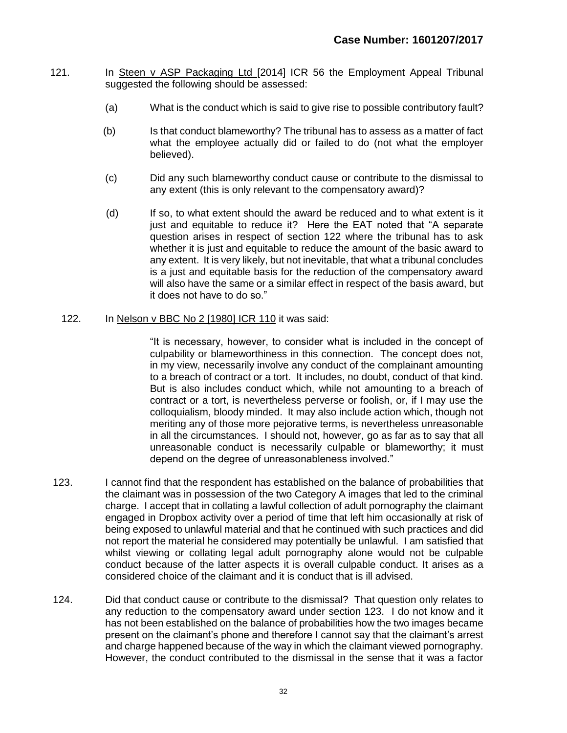- 121. In Steen v ASP Packaging Ltd [2014] ICR 56 the Employment Appeal Tribunal suggested the following should be assessed:
	- (a) What is the conduct which is said to give rise to possible contributory fault?
	- (b) Is that conduct blameworthy? The tribunal has to assess as a matter of fact what the employee actually did or failed to do (not what the employer believed).
	- (c) Did any such blameworthy conduct cause or contribute to the dismissal to any extent (this is only relevant to the compensatory award)?
	- (d) If so, to what extent should the award be reduced and to what extent is it just and equitable to reduce it? Here the EAT noted that "A separate question arises in respect of section 122 where the tribunal has to ask whether it is just and equitable to reduce the amount of the basic award to any extent. It is very likely, but not inevitable, that what a tribunal concludes is a just and equitable basis for the reduction of the compensatory award will also have the same or a similar effect in respect of the basis award, but it does not have to do so."

#### 122. In Nelson v BBC No 2 [1980] ICR 110 it was said:

"It is necessary, however, to consider what is included in the concept of culpability or blameworthiness in this connection. The concept does not, in my view, necessarily involve any conduct of the complainant amounting to a breach of contract or a tort. It includes, no doubt, conduct of that kind. But is also includes conduct which, while not amounting to a breach of contract or a tort, is nevertheless perverse or foolish, or, if I may use the colloquialism, bloody minded. It may also include action which, though not meriting any of those more pejorative terms, is nevertheless unreasonable in all the circumstances. I should not, however, go as far as to say that all unreasonable conduct is necessarily culpable or blameworthy; it must depend on the degree of unreasonableness involved."

- 123. I cannot find that the respondent has established on the balance of probabilities that the claimant was in possession of the two Category A images that led to the criminal charge. I accept that in collating a lawful collection of adult pornography the claimant engaged in Dropbox activity over a period of time that left him occasionally at risk of being exposed to unlawful material and that he continued with such practices and did not report the material he considered may potentially be unlawful. I am satisfied that whilst viewing or collating legal adult pornography alone would not be culpable conduct because of the latter aspects it is overall culpable conduct. It arises as a considered choice of the claimant and it is conduct that is ill advised.
- 124. Did that conduct cause or contribute to the dismissal? That question only relates to any reduction to the compensatory award under section 123. I do not know and it has not been established on the balance of probabilities how the two images became present on the claimant's phone and therefore I cannot say that the claimant's arrest and charge happened because of the way in which the claimant viewed pornography. However, the conduct contributed to the dismissal in the sense that it was a factor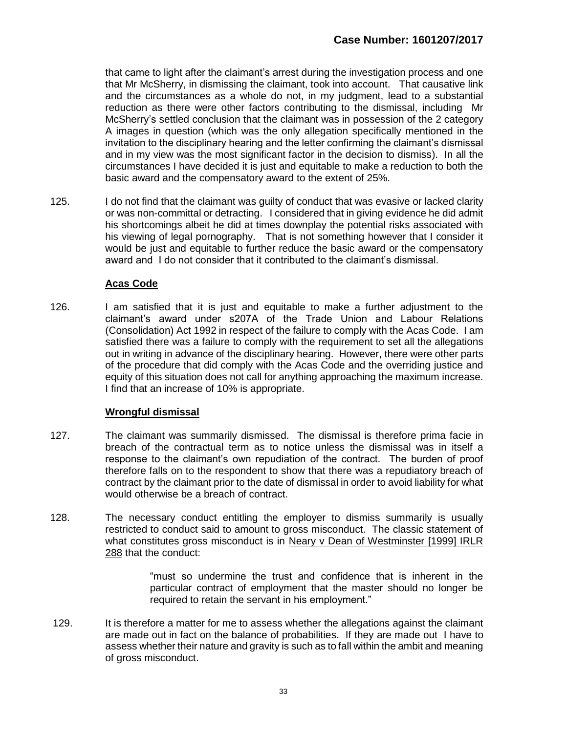that came to light after the claimant's arrest during the investigation process and one that Mr McSherry, in dismissing the claimant, took into account. That causative link and the circumstances as a whole do not, in my judgment, lead to a substantial reduction as there were other factors contributing to the dismissal, including Mr McSherry's settled conclusion that the claimant was in possession of the 2 category A images in question (which was the only allegation specifically mentioned in the invitation to the disciplinary hearing and the letter confirming the claimant's dismissal and in my view was the most significant factor in the decision to dismiss). In all the circumstances I have decided it is just and equitable to make a reduction to both the basic award and the compensatory award to the extent of 25%.

125. I do not find that the claimant was quilty of conduct that was evasive or lacked clarity or was non-committal or detracting. I considered that in giving evidence he did admit his shortcomings albeit he did at times downplay the potential risks associated with his viewing of legal pornography. That is not something however that I consider it would be just and equitable to further reduce the basic award or the compensatory award and I do not consider that it contributed to the claimant's dismissal.

# **Acas Code**

 126. I am satisfied that it is just and equitable to make a further adjustment to the claimant's award under s207A of the Trade Union and Labour Relations (Consolidation) Act 1992 in respect of the failure to comply with the Acas Code. I am satisfied there was a failure to comply with the requirement to set all the allegations out in writing in advance of the disciplinary hearing. However, there were other parts of the procedure that did comply with the Acas Code and the overriding justice and equity of this situation does not call for anything approaching the maximum increase. I find that an increase of 10% is appropriate.

# **Wrongful dismissal**

- 127. The claimant was summarily dismissed. The dismissal is therefore prima facie in breach of the contractual term as to notice unless the dismissal was in itself a response to the claimant's own repudiation of the contract. The burden of proof therefore falls on to the respondent to show that there was a repudiatory breach of contract by the claimant prior to the date of dismissal in order to avoid liability for what would otherwise be a breach of contract.
- 128. The necessary conduct entitling the employer to dismiss summarily is usually restricted to conduct said to amount to gross misconduct. The classic statement of what constitutes gross misconduct is in Neary v Dean of Westminster [1999] IRLR 288 that the conduct:

"must so undermine the trust and confidence that is inherent in the particular contract of employment that the master should no longer be required to retain the servant in his employment."

 129. It is therefore a matter for me to assess whether the allegations against the claimant are made out in fact on the balance of probabilities. If they are made out I have to assess whether their nature and gravity is such as to fall within the ambit and meaning of gross misconduct.